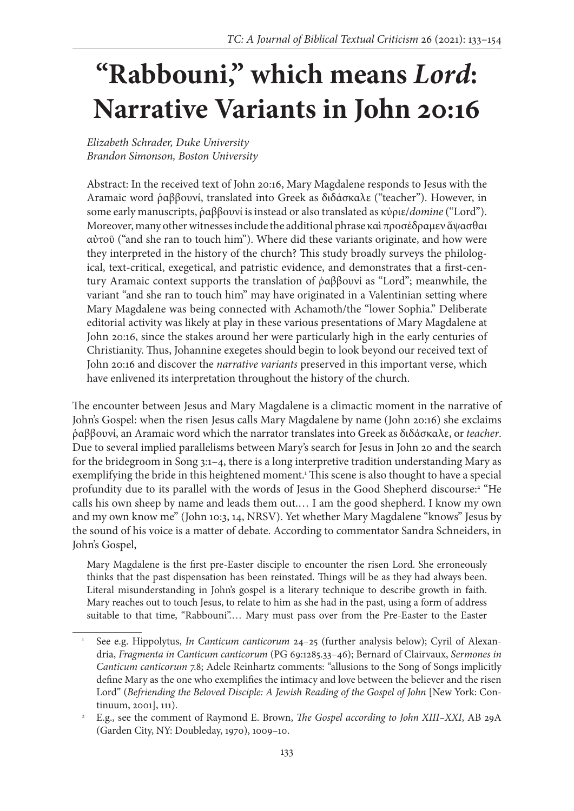# **"Rabbouni," which means** *Lord***: Narrative Variants in John 20:16**

*Elizabeth Schrader, Duke University Brandon Simonson, Boston University*

Abstract: In the received text of John 20:16, Mary Magdalene responds to Jesus with the Aramaic word ῥαββουνί, translated into Greek as διδάσκαλε ("teacher"). However, in some early manuscripts, ῥαββουνί is instead or also translated as κύριε/*domine* ("Lord"). Moreover, many other witnesses include the additional phrase καὶ προσέδραμεν ἅψασθαι αὐτοῦ ("and she ran to touch him"). Where did these variants originate, and how were they interpreted in the history of the church? This study broadly surveys the philological, text-critical, exegetical, and patristic evidence, and demonstrates that a first-century Aramaic context supports the translation of ῥαββουνί as "Lord"; meanwhile, the variant "and she ran to touch him" may have originated in a Valentinian setting where Mary Magdalene was being connected with Achamoth/the "lower Sophia." Deliberate editorial activity was likely at play in these various presentations of Mary Magdalene at John 20:16, since the stakes around her were particularly high in the early centuries of Christianity. Thus, Johannine exegetes should begin to look beyond our received text of John 20:16 and discover the *narrative variants* preserved in this important verse, which have enlivened its interpretation throughout the history of the church.

The encounter between Jesus and Mary Magdalene is a climactic moment in the narrative of John's Gospel: when the risen Jesus calls Mary Magdalene by name (John 20:16) she exclaims ῥαββουνί, an Aramaic word which the narrator translates into Greek as διδάσκαλε, or *teacher*. Due to several implied parallelisms between Mary's search for Jesus in John 20 and the search for the bridegroom in Song 3:1–4, there is a long interpretive tradition understanding Mary as exemplifying the bride in this heightened moment.<sup>1</sup> This scene is also thought to have a special profundity due to its parallel with the words of Jesus in the Good Shepherd discourse:<sup>2</sup> "He calls his own sheep by name and leads them out.… I am the good shepherd. I know my own and my own know me" (John 10:3, 14, NRSV). Yet whether Mary Magdalene "knows" Jesus by the sound of his voice is a matter of debate. According to commentator Sandra Schneiders, in John's Gospel,

Mary Magdalene is the first pre-Easter disciple to encounter the risen Lord. She erroneously thinks that the past dispensation has been reinstated. Things will be as they had always been. Literal misunderstanding in John's gospel is a literary technique to describe growth in faith. Mary reaches out to touch Jesus, to relate to him as she had in the past, using a form of address suitable to that time, "Rabbouni".… Mary must pass over from the Pre-Easter to the Easter

<sup>1</sup> See e.g. Hippolytus, *In Canticum canticorum* 24–25 (further analysis below); Cyril of Alexandria, *Fragmenta in Canticum canticorum* (PG 69:1285.33–46); Bernard of Clairvaux, *Sermones in Canticum canticorum* 7.8; Adele Reinhartz comments: "allusions to the Song of Songs implicitly define Mary as the one who exemplifies the intimacy and love between the believer and the risen Lord" (*Befriending the Beloved Disciple: A Jewish Reading of the Gospel of John* [New York: Continuum, 2001], 111).

<sup>2</sup> E.g., see the comment of Raymond E. Brown, *The Gospel according to John XIII–XXI*, AB 29A (Garden City, NY: Doubleday, 1970), 1009–10.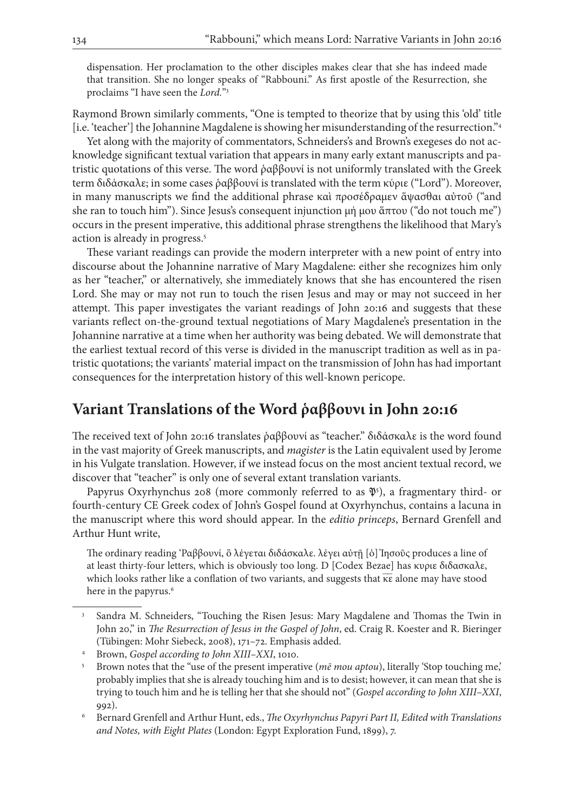dispensation. Her proclamation to the other disciples makes clear that she has indeed made that transition. She no longer speaks of "Rabbouni." As first apostle of the Resurrection, she proclaims "I have seen the *Lord.*"3

Raymond Brown similarly comments, "One is tempted to theorize that by using this 'old' title [i.e. 'teacher'] the Johannine Magdalene is showing her misunderstanding of the resurrection."4

Yet along with the majority of commentators, Schneiders's and Brown's exegeses do not acknowledge significant textual variation that appears in many early extant manuscripts and patristic quotations of this verse. The word ῥαββουνί is not uniformly translated with the Greek term διδάσκαλε; in some cases ῥαββουνί is translated with the term κύριε ("Lord"). Moreover, in many manuscripts we find the additional phrase καὶ προσέδραμεν ἅψασθαι αὐτοῦ ("and she ran to touch him"). Since Jesus's consequent injunction μή μου ἅπτου ("do not touch me") occurs in the present imperative, this additional phrase strengthens the likelihood that Mary's action is already in progress.5

These variant readings can provide the modern interpreter with a new point of entry into discourse about the Johannine narrative of Mary Magdalene: either she recognizes him only as her "teacher," or alternatively, she immediately knows that she has encountered the risen Lord. She may or may not run to touch the risen Jesus and may or may not succeed in her attempt. This paper investigates the variant readings of John 20:16 and suggests that these variants reflect on-the-ground textual negotiations of Mary Magdalene's presentation in the Johannine narrative at a time when her authority was being debated. We will demonstrate that the earliest textual record of this verse is divided in the manuscript tradition as well as in patristic quotations; the variants' material impact on the transmission of John has had important consequences for the interpretation history of this well-known pericope.

## **Variant Translations of the Word ῥαββουνι in John 20:16**

The received text of John 20:16 translates ῥαββουνί as "teacher." διδάσκαλε is the word found in the vast majority of Greek manuscripts, and *magister* is the Latin equivalent used by Jerome in his Vulgate translation. However, if we instead focus on the most ancient textual record, we discover that "teacher" is only one of several extant translation variants.

Papyrus Oxyrhynchus 208 (more commonly referred to as  $\mathfrak{P}^5$ ), a fragmentary third- or fourth-century CE Greek codex of John's Gospel found at Oxyrhynchus, contains a lacuna in the manuscript where this word should appear. In the *editio princeps*, Bernard Grenfell and Arthur Hunt write,

The ordinary reading 'Ραββουνί, ὃ λέγεται διδάσκαλε. λέγει αὐτῇ [ὁ] Ἰησοῦς produces a line of at least thirty-four letters, which is obviously too long. D [Codex Bezae] has κυριε διδασκαλε, which looks rather like a conflation of two variants, and suggests that κε alone may have stood here in the papyrus.<sup>6</sup>

<sup>3</sup> Sandra M. Schneiders, "Touching the Risen Jesus: Mary Magdalene and Thomas the Twin in John 20," in *The Resurrection of Jesus in the Gospel of John*, ed. Craig R. Koester and R. Bieringer (Tübingen: Mohr Siebeck, 2008), 171–72. Emphasis added.

<sup>4</sup> Brown, *Gospel according to John XIII–XXI*, 1010.

<sup>5</sup> Brown notes that the "use of the present imperative (*mē mou aptou*), literally 'Stop touching me,' probably implies that she is already touching him and is to desist; however, it can mean that she is trying to touch him and he is telling her that she should not" (*Gospel according to John XIII–XXI*, 992).

<sup>6</sup> Bernard Grenfell and Arthur Hunt, eds., *The Oxyrhynchus Papyri Part II, Edited with Translations and Notes, with Eight Plates* (London: Egypt Exploration Fund, 1899), 7.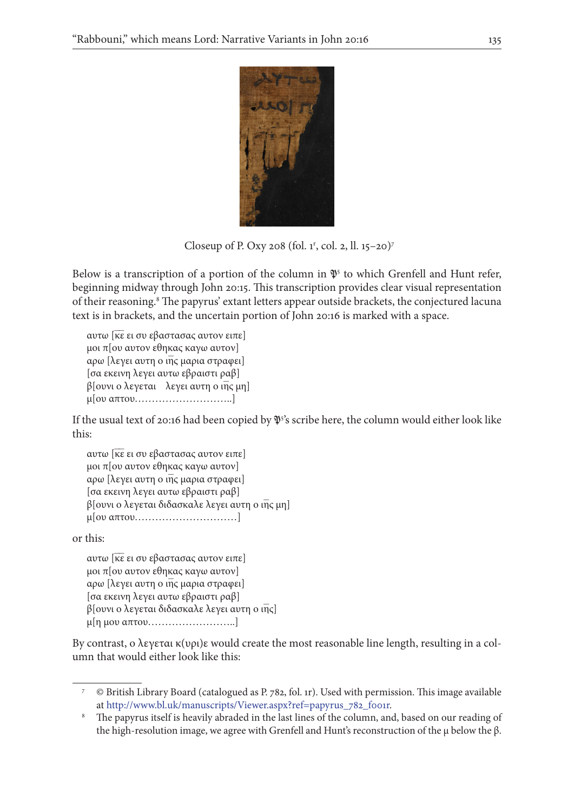

Closeup of P. Oxy 208 (fol. 1<sup>r</sup>, col. 2, ll. 15–20)<sup>7</sup>

Below is a transcription of a portion of the column in  $\mathfrak{P}^5$  to which Grenfell and Hunt refer, beginning midway through John 20:15. This transcription provides clear visual representation of their reasoning.<sup>8</sup> The papyrus' extant letters appear outside brackets, the conjectured lacuna text is in brackets, and the uncertain portion of John 20:16 is marked with a space.

αυτω [κε ει συ εβαστασας αυτον ειπε] μοι π[ου αυτον εθηκας καγω αυτον] αρω [λεγει αυτη ο ιη̅ς μαρια στραφει] [σα εκεινη λεγει αυτω εβραιστι ραβ] β[ουνι ο λεγεται λεγει αυτη ο ιη̅ς μη] μ[ου απτου………………………..]

If the usual text of 20:16 had been copied by  $\mathfrak{P}^3$ 's scribe here, the column would either look like this:

αυτω [κε ει συ εβαστασας αυτον ειπε] μοι π[ου αυτον εθηκας καγω αυτον] αρω [λεγει αυτη ο ιη̅ς μαρια στραφει] [σα εκεινη λεγει αυτω εβραιστι ραβ] β[ουνι ο λεγεται διδασκαλε λεγει αυτη ο ιη̅ς μη] μ[ου απτου…………………………]

or this:

αυτω [κε ει συ εβαστασας αυτον ειπε] μοι π[ου αυτον εθηκας καγω αυτον] αρω [λεγει αυτη ο ιη̅ς μαρια στραφει] [σα εκεινη λεγει αυτω εβραιστι ραβ] β[ουνι ο λεγεται διδασκαλε λεγει αυτη ο ιη̅ς] μ[η μου απτου……………………..]

By contrast, ο λεγεται κ(υρι)ε would create the most reasonable line length, resulting in a column that would either look like this:

<sup>7</sup> © British Library Board (catalogued as P. 782, fol. 1r). Used with permission. This image available at [http://www.bl.uk/manuscripts/Viewer.aspx?ref=papyrus\\_782\\_f001r](http://www.bl.uk/manuscripts/Viewer.aspx?ref=papyrus_782_f001r).

<sup>&</sup>lt;sup>8</sup> The papyrus itself is heavily abraded in the last lines of the column, and, based on our reading of the high-resolution image, we agree with Grenfell and Hunt's reconstruction of the μ below the β.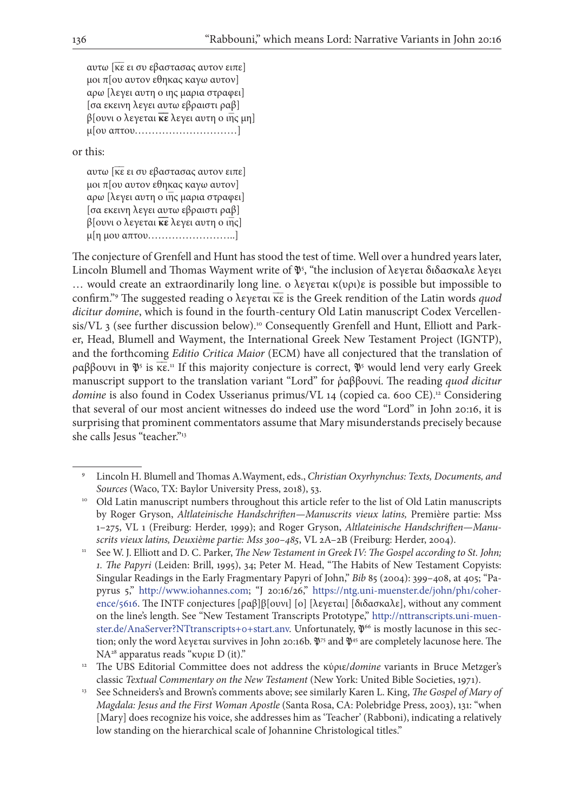αυτω [κε ει συ εβαστασας αυτον ειπε] μοι π[ου αυτον εθηκας καγω αυτον] αρω [λεγει αυτη ο ιης μαρια στραφει] [σα εκεινη λεγει αυτω εβραιστι ραβ] β[ουνι ο λεγεται **κ̅ε** λεγει αυτη **̅** ο ιη̅ς μη] μ[ου απτου…………………………]

or this:

αυτω [κε ει συ εβαστασας αυτον ειπε] μοι π[ου αυτον εθηκας καγω αυτον] αρω [λεγει αυτη ο ιη̅ς μαρια στραφει] [σα εκεινη λεγει αυτω εβραιστι ραβ] β[ουνι ο λεγεται **κ̅ε** λεγει αυτη **̅** ο ιη̅ς] μ[η μου απτου……………………..]

The conjecture of Grenfell and Hunt has stood the test of time. Well over a hundred years later, Lincoln Blumell and Thomas Wayment write of  $\mathfrak{P}^5$ , "the inclusion of λεγεται διδασκαλε λεγει … would create an extraordinarily long line. ο λεγεται κ(υρι)ε is possible but impossible to confirm."<sup>9</sup> The suggested reading ο λεγεται κε is the Greek rendition of the Latin words *quod dicitur domine*, which is found in the fourth-century Old Latin manuscript Codex Vercellensis/VL 3 (see further discussion below).<sup>10</sup> Consequently Grenfell and Hunt, Elliott and Parker, Head, Blumell and Wayment, the International Greek New Testament Project (IGNTP), and the forthcoming *Editio Critica Maior* (ECM) have all conjectured that the translation of ραββουνι in  $\mathfrak{P}^5$  is  $\overline{\kappa \varepsilon}$ .<sup>1</sup> If this majority conjecture is correct,  $\mathfrak{P}^5$  would lend very early Greek manuscript support to the translation variant "Lord" for ῥαββουνί. The reading *quod dicitur domine* is also found in Codex Usserianus primus/VL 14 (copied ca. 600 CE).<sup>12</sup> Considering that several of our most ancient witnesses do indeed use the word "Lord" in John 20:16, it is surprising that prominent commentators assume that Mary misunderstands precisely because she calls Jesus "teacher."<sup>13</sup>

<sup>9</sup> Lincoln H. Blumell and Thomas A.Wayment, eds., *Christian Oxyrhynchus: Texts, Documents, and Sources* (Waco, TX: Baylor University Press, 2018), 53.

<sup>&</sup>lt;sup>10</sup> Old Latin manuscript numbers throughout this article refer to the list of Old Latin manuscripts by Roger Gryson, *Altlateinische Handschriften—Manuscrits vieux latins,* Première partie: Mss 1–275, VL 1 (Freiburg: Herder, 1999); and Roger Gryson, *Altlateinische Handschriften—Manuscrits vieux latins, Deuxième partie: Mss 300–485*, VL 2A–2B (Freiburg: Herder, 2004).

<sup>&</sup>lt;sup>11</sup> See W. J. Elliott and D. C. Parker, *The New Testament in Greek IV: The Gospel according to St. John; 1. The Papyri* (Leiden: Brill, 1995), 34; Peter M. Head, "The Habits of New Testament Copyists: Singular Readings in the Early Fragmentary Papyri of John," *Bib* 85 (2004): 399–408, at 405; "Papyrus 5," [http://www.iohannes.com;](http://www.iohannes.com) "J 20:16/26," [https://ntg.uni-muenster.de/john/ph1/coher](https://ntg.uni-muenster.de/john/ph1/coherence/5616)[ence/5616.](https://ntg.uni-muenster.de/john/ph1/coherence/5616) The INTF conjectures [ραβ]β[ουνι] [ο] [λεγεται] [διδασκαλε], without any comment on the line's length. See "New Testament Transcripts Prototype," [http://nttranscripts.uni-muen](http://nttranscripts.uni-muenster.de/AnaServer?NTtranscripts+0+start.anv)[ster.de/AnaServer?NTtranscripts+0+start.anv.](http://nttranscripts.uni-muenster.de/AnaServer?NTtranscripts+0+start.anv) Unfortunately,  $\Psi^{66}$  is mostly lacunose in this section; only the word λεγεται survives in John 20:16b.  $\mathfrak{P}^{75}$  and  $\mathfrak{P}^{45}$  are completely lacunose here. The NA28 apparatus reads "κυριε D (it)."

<sup>&</sup>lt;sup>12</sup> The UBS Editorial Committee does not address the κύριε/domine variants in Bruce Metzger's classic *Textual Commentary on the New Testament* (New York: United Bible Societies, 1971).

<sup>13</sup> See Schneiders's and Brown's comments above; see similarly Karen L. King, *The Gospel of Mary of Magdala: Jesus and the First Woman Apostle* (Santa Rosa, CA: Polebridge Press, 2003), 131: "when [Mary] does recognize his voice, she addresses him as 'Teacher' (Rabboni), indicating a relatively low standing on the hierarchical scale of Johannine Christological titles."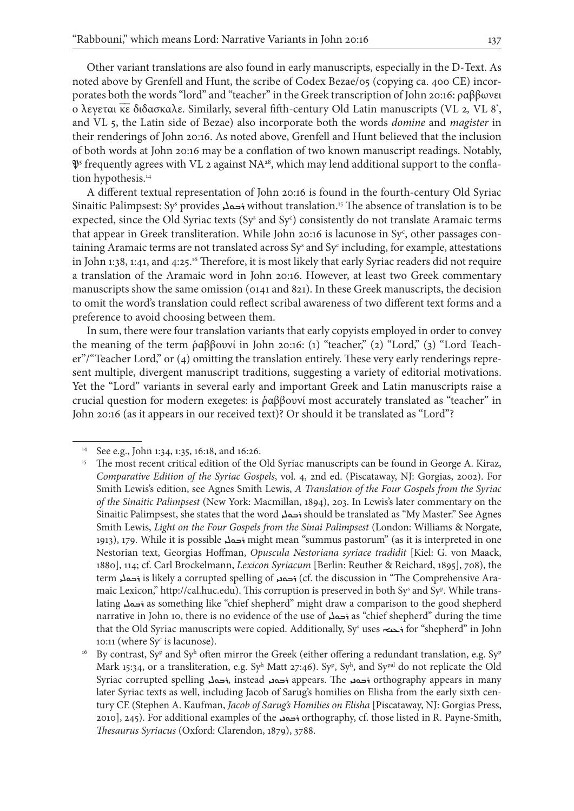Other variant translations are also found in early manuscripts, especially in the D-Text. As noted above by Grenfell and Hunt, the scribe of Codex Bezae/05 (copying ca. 400 CE) incorporates both the words "lord" and "teacher" in the Greek transcription of John 20:16: ραββωνει ο λεγεται κε διδασκαλε. Similarly, several fifth-century Old Latin manuscripts (VL 2, VL 8<sup>\*</sup>, and VL 5, the Latin side of Bezae) also incorporate both the words *domine* and *magister* in their renderings of John 20:16. As noted above, Grenfell and Hunt believed that the inclusion of both words at John 20:16 may be a conflation of two known manuscript readings. Notably,  $\mathfrak{P}^5$  frequently agrees with VL 2 against NA28, which may lend additional support to the conflation hypothesis.<sup>14</sup>

A different textual representation of John 20:16 is found in the fourth-century Old Syriac Sinaitic Palimpsest: Sy<sup>s</sup> provides <del>i</del> without translation.<sup>15</sup> The absence of translation is to be expected, since the Old Syriac texts  $(Sy^s$  and  $Sy^c)$  consistently do not translate Aramaic terms that appear in Greek transliteration. While John 20:16 is lacunose in Sy<sup>c</sup>, other passages containing Aramaic terms are not translated across  $Sy^s$  and  $Sy^c$  including, for example, attestations in John 1:38, 1:41, and 4:25.16 Therefore, it is most likely that early Syriac readers did not require a translation of the Aramaic word in John 20:16. However, at least two Greek commentary manuscripts show the same omission (0141 and 821). In these Greek manuscripts, the decision to omit the word's translation could reflect scribal awareness of two different text forms and a preference to avoid choosing between them.

In sum, there were four translation variants that early copyists employed in order to convey the meaning of the term ῥαββουνί in John 20:16: (1) "teacher," (2) "Lord," (3) "Lord Teacher"/"Teacher Lord," or (4) omitting the translation entirely. These very early renderings represent multiple, divergent manuscript traditions, suggesting a variety of editorial motivations. Yet the "Lord" variants in several early and important Greek and Latin manuscripts raise a crucial question for modern exegetes: is ῥαββουνί most accurately translated as "teacher" in John 20:16 (as it appears in our received text)? Or should it be translated as "Lord"?

<sup>14</sup> See e.g., John 1:34, 1:35, 16:18, and 16:26.

<sup>&</sup>lt;sup>15</sup> The most recent critical edition of the Old Syriac manuscripts can be found in George A. Kiraz, *Comparative Edition of the Syriac Gospels*, vol. 4, 2nd ed. (Piscataway, NJ: Gorgias, 2002). For Smith Lewis's edition, see Agnes Smith Lewis, *A Translation of the Four Gospels from the Syriac of the Sinaitic Palimpsest* (New York: Macmillan, 1894), 203. In Lewis's later commentary on the Sinaitic Palimpsest, she states that the word ܪܒܘܠܝ should be translated as "My Master." See Agnes Smith Lewis, *Light on the Four Gospels from the Sinai Palimpsest* (London: Williams & Norgate, 1913), 179. While it is possible ܪܒܘܠܝ might mean "summus pastorum" (as it is interpreted in one Nestorian text, Georgias Hoffman, *Opuscula Nestoriana syriace tradidit* [Kiel: G. von Maack, 1880], 114; cf. Carl Brockelmann, *Lexicon Syriacum* [Berlin: Reuther & Reichard, 1895], 708), the term is likely a corrupted spelling of فحمد (cf. the discussion in "The Comprehensive Aramaic Lexicon," http://cal.huc.edu). This corruption is preserved in both Sy<sup>s</sup> and Sy<sup>p</sup>. While translating ܪܒܘܠܝ as something like "chief shepherd" might draw a comparison to the good shepherd narrative in John 10, there is no evidence of the use of ܪܒܘܠܝ as "chief shepherd" during the time that the Old Syriac manuscripts were copied. Additionally, Sy<sup>s</sup> uses <del>د</del>عه for "shepherd" in John 10:11 (where Sy<sup>c</sup> is lacunose).

 $^{16}$   $\,$  By contrast, Sy<sup>p</sup> and Sy $^{\rm h}$  often mirror the Greek (either offering a redundant translation, e.g. Sy $^{\rm p}$ Mark 15:34, or a transliteration, e.g. Sy<sup>h</sup> Matt 27:46). Sy<sup>p</sup>, Sy<sup>h</sup>, and Sy<sup>pal</sup> do not replicate the Old Syriac corrupted spelling ܪܒܘܠܝ, instead ܪܒܘܢܝ appears. The ܪܒܘܢܝ orthography appears in many later Syriac texts as well, including Jacob of Sarug's homilies on Elisha from the early sixth century CE (Stephen A. Kaufman, *Jacob of Sarug's Homilies on Elisha* [Piscataway, NJ: Gorgias Press, 2010], 245). For additional examples of the ܪܒܘܢܝ orthography, cf. those listed in R. Payne-Smith, *Thesaurus Syriacus* (Oxford: Clarendon, 1879), 3788.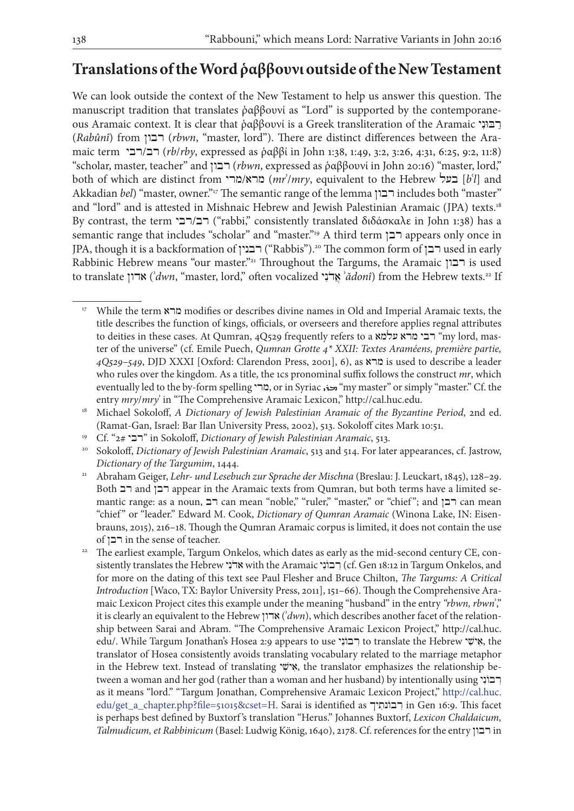# **Translations of the Word ῥαββουνι outside of the New Testament**

We can look outside the context of the New Testament to help us answer this question. The manuscript tradition that translates ῥαββουνί as "Lord" is supported by the contemporaneous Aramaic context. It is clear that ῥαββουνί is a Greek transliteration of the Aramaic  $\overline{P}$ (*Rabûnî*) from רבון) *rbwn*, "master, lord"). There are distinct differences between the Aramaic term רבי/רב) *rb*/*rby*, expressed as ῥαββί in John 1:38, 1:49, 3:2, 3:26, 4:31, 6:25, 9:2, 11:8) "scholar, master, teacher" and רבון) *rbwn*, expressed as ῥαββουνί in John 20:16) "master, lord," both of which are distinct from מרי/מרא) *mr*ʾ/*mry*, equivalent to the Hebrew בעל] *b*ʿ*l*] and Akkadian *bel*) "master, owner."17 The semantic range of the lemma רבון includes both "master" and "lord" and is attested in Mishnaic Hebrew and Jewish Palestinian Aramaic (JPA) texts.<sup>18</sup> By contrast, the term רב/רבי<sup>"</sup>rabbi," consistently translated διδάσκαλε in John 1:38) has a semantic range that includes "scholar" and "master."19 A third term רבן appears only once in JPA, though it is a backformation of רבנין ("Rabbis").<sup>20</sup> The common form of רבן used in early Rabbinic Hebrew means "our master."21 Throughout the Targums, the Aramaic רבון is used to translate אדון) **`***dwn*, "master, lord," often vocalized אֲדֹנָי ʾ*ădonî*) from the Hebrew texts.<sup>22</sup> If

<sup>17</sup> While the term מרא modifies or describes divine names in Old and Imperial Aramaic texts, the title describes the function of kings, officials, or overseers and therefore applies regnal attributes to deities in these cases. At Qumran, 4Q529 frequently refers to a רבי מרא עלמא רבי" my lord, master of the universe" (cf. Emile Puech, *Qumran Grotte 4\* XXII: Textes Araméens, première partie, 4Q529–549*, DJD XXXI [Oxford: Clarendon Press, 2001], 6), as מרא is used to describe a leader who rules over the kingdom. As a title, the 1cs pronominal suffix follows the construct *mr*, which eventually led to the by-form spelling מרי, or in Syriac היה, "my master" or simply "master." Cf. the entry *mry*/*mry*ʾ in "The Comprehensive Aramaic Lexicon," http://cal.huc.edu.

<sup>&</sup>lt;sup>18</sup> Michael Sokoloff, *A Dictionary of Jewish Palestinian Aramaic of the Byzantine Period*, 2nd ed. (Ramat-Gan, Israel: Bar Ilan University Press, 2002), 513. Sokoloff cites Mark 10:51.

<sup>19</sup> Cf. "2# רבי "in Sokoloff, *Dictionary of Jewish Palestinian Aramaic*, 513.

<sup>20</sup> Sokoloff, *Dictionary of Jewish Palestinian Aramaic*, 513 and 514. For later appearances, cf. Jastrow, *Dictionary of the Targumim*, 1444.

<sup>21</sup> Abraham Geiger, *Lehr- und Lesebuch zur Sprache der Mischna* (Breslau: J. Leuckart, 1845), 128–29. Both רבן and רבן appear in the Aramaic texts from Qumran, but both terms have a limited semantic range: as a noun, רב can mean "noble," "ruler," "master," or "chief"; and רבן can mean "chief " or "leader." Edward M. Cook, *Dictionary of Qumran Aramaic* (Winona Lake, IN: Eisenbrauns, 2015), 216–18. Though the Qumran Aramaic corpus is limited, it does not contain the use of  $\Box$  in the sense of teacher.

<sup>&</sup>lt;sup>22</sup> The earliest example, Targum Onkelos, which dates as early as the mid-second century CE, consistently translates the Hebrew אדׂנִי with the Aramaic רְבוֹנִי (cf. Gen 18:12 in Targum Onkelos, and for more on the dating of this text see Paul Flesher and Bruce Chilton, *The Targums: A Critical Introduction* [Waco, TX: Baylor University Press, 2011], 151–66). Though the Comprehensive Aramaic Lexicon Project cites this example under the meaning "husband" in the entry *"rbwn, rbwn*ʾ," it is clearly an equivalent to the Hebrew אדון) ʾ*dwn*), which describes another facet of the relationship between Sarai and Abram. "The Comprehensive Aramaic Lexicon Project," http://cal.huc. edu/. While Targum Jonathan's Hosea 2:9 appears to use רְבוֹנִי to translate the Hebrew ישי , the translator of Hosea consistently avoids translating vocabulary related to the marriage metaphor in the Hebrew text. Instead of translating אֵישָׁי, the translator emphasizes the relationship between a woman and her god (rather than a woman and her husband) by intentionally using רבוני as it means "lord." "Targum Jonathan, Comprehensive Aramaic Lexicon Project," [http://cal.huc.](http://cal.huc.edu/get_a_chapter.php?file=51015&cset=H) [edu/get\\_a\\_chapter.php?file=51015&cset=H.](http://cal.huc.edu/get_a_chapter.php?file=51015&cset=H) Sarai is identified as יך ִונתֹב ִר in Gen 16:9. This facet is perhaps best defined by Buxtorf 's translation "Herus." Johannes Buxtorf, *Lexicon Chaldaicum, Talmudicum, et Rabbinicum* (Basel: Ludwig König, 1640), 2178. Cf. references for the entry רבון in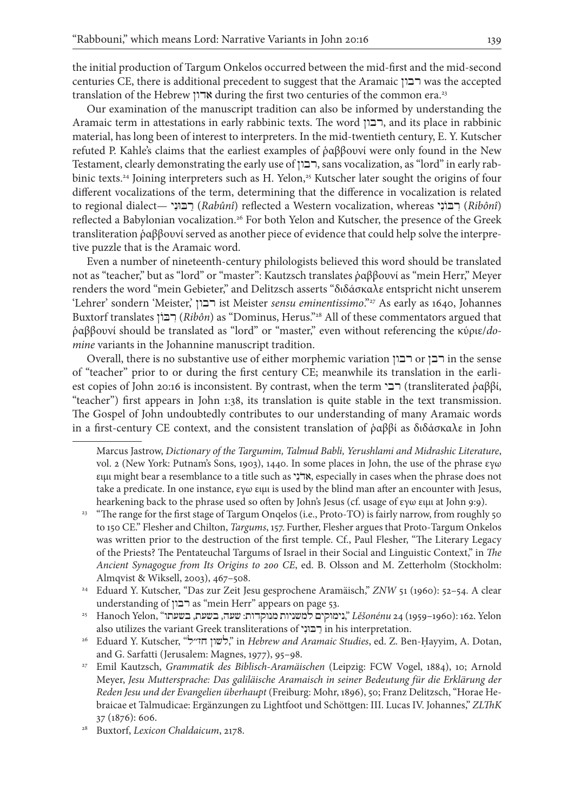the initial production of Targum Onkelos occurred between the mid-first and the mid-second centuries CE, there is additional precedent to suggest that the Aramaic רבון was the accepted translation of the Hebrew אדון during the first two centuries of the common era.23

Our examination of the manuscript tradition can also be informed by understanding the Aramaic term in attestations in early rabbinic texts. The word רבון, and its place in rabbinic material, has long been of interest to interpreters. In the mid-twentieth century, E. Y. Kutscher refuted P. Kahle's claims that the earliest examples of ῥαββουνί were only found in the New Testament, clearly demonstrating the early use of רבון, sans vocalization, as "lord" in early rabbinic texts.<sup>24</sup> Joining interpreters such as H. Yelon,<sup>25</sup> Kutscher later sought the origins of four different vocalizations of the term, determining that the difference in vocalization is related to regional dialect— רבּוּני *(Rabûnî*) reflected a Western vocalization, whereas רבּוֹני (*Ribônî*) reflected a Babylonian vocalization.<sup>26</sup> For both Yelon and Kutscher, the presence of the Greek transliteration ῥαββουνί served as another piece of evidence that could help solve the interpretive puzzle that is the Aramaic word.

Even a number of nineteenth-century philologists believed this word should be translated not as "teacher," but as "lord" or "master": Kautzsch translates ῥαββουνί as "mein Herr," Meyer renders the word "mein Gebieter," and Delitzsch asserts "διδάσκαλε entspricht nicht unserem 'Lehrer' sondern 'Meister,' רבון ist Meister *sensu eminentissimo*."27 As early as 1640, Johannes Buxtorf translates וןֹבּ ִר) *Ribôn*) as "Dominus, Herus."28 All of these commentators argued that ῥαββουνί should be translated as "lord" or "master," even without referencing the κύριε/*domine* variants in the Johannine manuscript tradition.

Overall, there is no substantive use of either morphemic variation רבון or רבן in the sense of "teacher" prior to or during the first century CE; meanwhile its translation in the earliest copies of John 20:16 is inconsistent. By contrast, when the term רבי (transliterated ῥαββί, "teacher") first appears in John 1:38, its translation is quite stable in the text transmission. The Gospel of John undoubtedly contributes to our understanding of many Aramaic words in a first-century CE context, and the consistent translation of ῥαββί as διδάσκαλε in John

<sup>25</sup> Hanoch Yelon, "בשעתו ,בשעת ,שעה :מנוקדות למשניות נימוקים, "*Lěšonénu* 24 (1959–1960): 162. Yelon also utilizes the variant Greek transliterations of רבוני $\Box$  in his interpretation.

<sup>26</sup> Eduard Y. Kutscher, "לשון חז״ל", "in *Hebrew and Aramaic Studies*, ed. Z. Ben-Ḥayyim, A. Dotan, and G. Sarfatti (Jerusalem: Magnes, 1977), 95–98.

Marcus Jastrow, *Dictionary of the Targumim, Talmud Babli, Yerushlami and Midrashic Literature*, vol. 2 (New York: Putnam's Sons, 1903), 1440. In some places in John, the use of the phrase εγω ειμι might bear a resemblance to a title such as י ִנ ֹאד, especially in cases when the phrase does not take a predicate. In one instance, εγω ειμι is used by the blind man after an encounter with Jesus, hearkening back to the phrase used so often by John's Jesus (cf. usage of εγω ειμι at John 9:9).

<sup>&</sup>lt;sup>23</sup> "The range for the first stage of Targum Onqelos (i.e., Proto-TO) is fairly narrow, from roughly 50 to 150 CE." Flesher and Chilton, *Targums*, 157. Further, Flesher argues that Proto-Targum Onkelos was written prior to the destruction of the first temple. Cf., Paul Flesher, "The Literary Legacy of the Priests? The Pentateuchal Targums of Israel in their Social and Linguistic Context," in *The Ancient Synagogue from Its Origins to 200 CE*, ed. B. Olsson and M. Zetterholm (Stockholm: Almqvist & Wiksell, 2003), 467–508.

<sup>&</sup>lt;sup>24</sup> Eduard Y. Kutscher, "Das zur Zeit Jesu gesprochene Aramäisch," *ZNW* 51 (1960): 52-54. A clear understanding of רבון as "mein Herr" appears on page 53.

<sup>27</sup> Emil Kautzsch, *Grammatik des Biblisch-Aramäischen* (Leipzig: FCW Vogel, 1884), 10; Arnold Meyer, *Jesu Muttersprache: Das galiläische Aramaisch in seiner Bedeutung für die Erklärung der Reden Jesu und der Evangelien überhaupt* (Freiburg: Mohr, 1896), 50; Franz Delitzsch, "Horae Hebraicae et Talmudicae: Ergänzungen zu Lightfoot und Schöttgen: III. Lucas IV. Johannes," *ZLThK*  37 (1876): 606.

<sup>28</sup> Buxtorf, *Lexicon Chaldaicum*, 2178.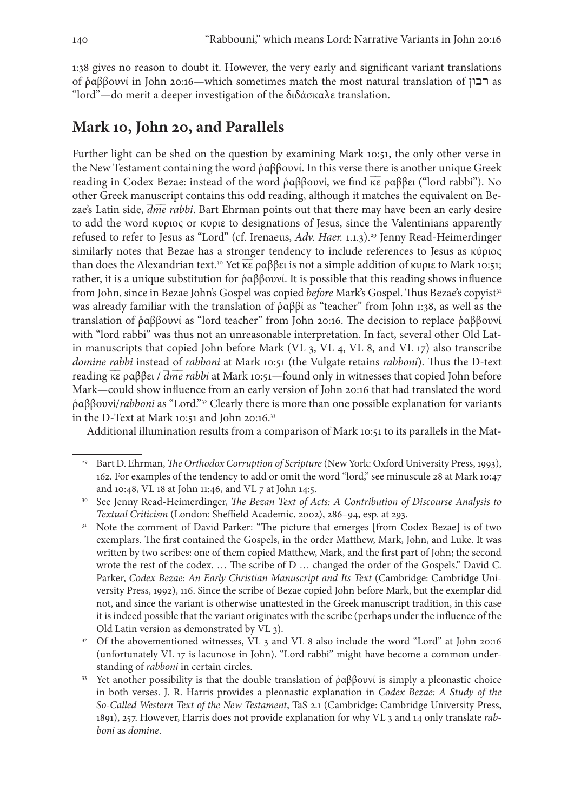1:38 gives no reason to doubt it. However, the very early and significant variant translations of ραββουνί in John 20:16—which sometimes match the most natural translation of  $\Gamma$ as "lord"—do merit a deeper investigation of the διδάσκαλε translation.

# **Mark 10, John 20, and Parallels**

Further light can be shed on the question by examining Mark 10:51, the only other verse in the New Testament containing the word ῥαββουνί. In this verse there is another unique Greek reading in Codex Bezae: instead of the word ραββουνί, we find κε ραββει ("lord rabbi"). No other Greek manuscript contains this odd reading, although it matches the equivalent on Bezae's Latin side,  $\overline{dme}$  *rabbi*. Bart Ehrman points out that there may have been an early desire to add the word κυριος or κυριε to designations of Jesus, since the Valentinians apparently refused to refer to Jesus as "Lord" (cf. Irenaeus, Adv. Haer. 1.1.3).<sup>29</sup> Jenny Read-Heimerdinger similarly notes that Bezae has a stronger tendency to include references to Jesus as κύριος than does the Alexandrian text.<sup>30</sup> Yet κε ραββει is not a simple addition of κυριε to Mark 10:51; rather, it is a unique substitution for ῥαββουνί. It is possible that this reading shows influence from John, since in Bezae John's Gospel was copied *before* Mark's Gospel. Thus Bezae's copyist<sup>31</sup> was already familiar with the translation of ῥαββί as "teacher" from John 1:38, as well as the translation of ῥαββουνί as "lord teacher" from John 20:16. The decision to replace ῥαββουνί with "lord rabbi" was thus not an unreasonable interpretation. In fact, several other Old Latin manuscripts that copied John before Mark (VL 3, VL 4, VL 8, and VL 17) also transcribe *domine rabbi* instead of *rabboni* at Mark 10:51 (the Vulgate retains *rabboni*). Thus the D-text reading κε ραββει / *dme rabbi* at Mark 10:51—found only in witnesses that copied John before Mark—could show influence from an early version of John 20:16 that had translated the word ῥαββουνί/*rabboni* as "Lord."32 Clearly there is more than one possible explanation for variants in the D-Text at Mark 10:51 and John 20:16.33

Additional illumination results from a comparison of Mark 10:51 to its parallels in the Mat-

<sup>&</sup>lt;sup>29</sup> Bart D. Ehrman, *The Orthodox Corruption of Scripture* (New York: Oxford University Press, 1993), 162. For examples of the tendency to add or omit the word "lord," see minuscule 28 at Mark 10:47 and 10:48, VL 18 at John 11:46, and VL 7 at John 14:5.

<sup>30</sup> See Jenny Read-Heimerdinger, *The Bezan Text of Acts: A Contribution of Discourse Analysis to Textual Criticism* (London: Sheffield Academic, 2002), 286–94, esp. at 293.

<sup>&</sup>lt;sup>31</sup> Note the comment of David Parker: "The picture that emerges [from Codex Bezae] is of two exemplars. The first contained the Gospels, in the order Matthew, Mark, John, and Luke. It was written by two scribes: one of them copied Matthew, Mark, and the first part of John; the second wrote the rest of the codex. … The scribe of D … changed the order of the Gospels." David C. Parker, *Codex Bezae: An Early Christian Manuscript and Its Text* (Cambridge: Cambridge University Press, 1992), 116. Since the scribe of Bezae copied John before Mark, but the exemplar did not, and since the variant is otherwise unattested in the Greek manuscript tradition, in this case it is indeed possible that the variant originates with the scribe (perhaps under the influence of the Old Latin version as demonstrated by VL 3).

<sup>32</sup> Of the abovementioned witnesses, VL 3 and VL 8 also include the word "Lord" at John 20:16 (unfortunately VL 17 is lacunose in John). "Lord rabbi" might have become a common understanding of *rabboni* in certain circles.

<sup>&</sup>lt;sup>33</sup> Yet another possibility is that the double translation of *ραββουνί* is simply a pleonastic choice in both verses. J. R. Harris provides a pleonastic explanation in *Codex Bezae: A Study of the So-Called Western Text of the New Testament*, TaS 2.1 (Cambridge: Cambridge University Press, 1891), 257. However, Harris does not provide explanation for why VL 3 and 14 only translate *rabboni* as *domine*.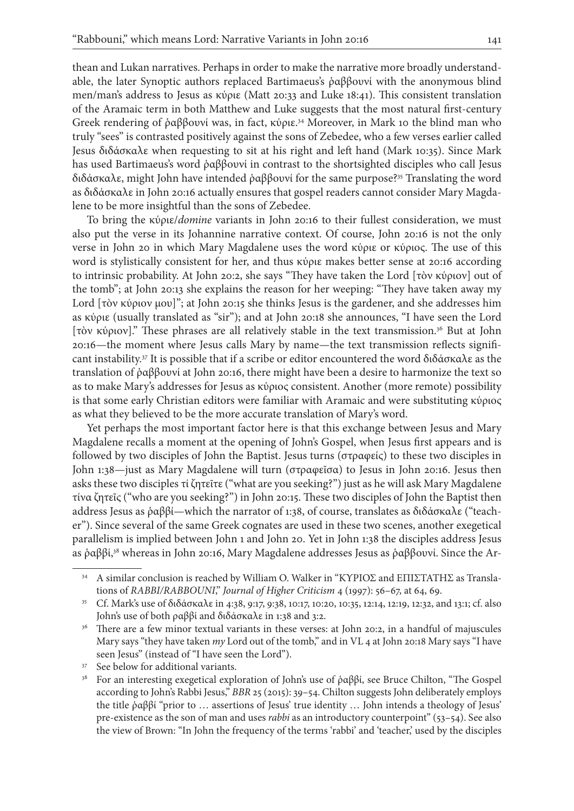thean and Lukan narratives. Perhaps in order to make the narrative more broadly understandable, the later Synoptic authors replaced Bartimaeus's ῥαββουνί with the anonymous blind men/man's address to Jesus as κύριε (Matt 20:33 and Luke 18:41). This consistent translation of the Aramaic term in both Matthew and Luke suggests that the most natural first-century Greek rendering of ραββουνί was, in fact, κύριε.<sup>34</sup> Moreover, in Mark 10 the blind man who truly "sees" is contrasted positively against the sons of Zebedee, who a few verses earlier called Jesus διδάσκαλε when requesting to sit at his right and left hand (Mark 10:35). Since Mark has used Bartimaeus's word ῥαββουνί in contrast to the shortsighted disciples who call Jesus διδάσκαλε, might John have intended ῥαββουνί for the same purpose?35 Translating the word as διδάσκαλε in John 20:16 actually ensures that gospel readers cannot consider Mary Magdalene to be more insightful than the sons of Zebedee.

To bring the κύριε/*domine* variants in John 20:16 to their fullest consideration, we must also put the verse in its Johannine narrative context. Of course, John 20:16 is not the only verse in John 20 in which Mary Magdalene uses the word κύριε or κύριος. The use of this word is stylistically consistent for her, and thus κύριε makes better sense at 20:16 according to intrinsic probability. At John 20:2, she says "They have taken the Lord [τὸν κύριον] out of the tomb"; at John 20:13 she explains the reason for her weeping: "They have taken away my Lord [τὸν κύριον μου]"; at John 20:15 she thinks Jesus is the gardener, and she addresses him as κύριε (usually translated as "sir"); and at John 20:18 she announces, "I have seen the Lord [τὸν κύριον]." These phrases are all relatively stable in the text transmission.36 But at John 20:16—the moment where Jesus calls Mary by name—the text transmission reflects significant instability.37 It is possible that if a scribe or editor encountered the word διδάσκαλε as the translation of ῥαββουνί at John 20:16, there might have been a desire to harmonize the text so as to make Mary's addresses for Jesus as κύριος consistent. Another (more remote) possibility is that some early Christian editors were familiar with Aramaic and were substituting κύριος as what they believed to be the more accurate translation of Mary's word.

Yet perhaps the most important factor here is that this exchange between Jesus and Mary Magdalene recalls a moment at the opening of John's Gospel, when Jesus first appears and is followed by two disciples of John the Baptist. Jesus turns (στραφείς) to these two disciples in John 1:38—just as Mary Magdalene will turn (στραφεῖσα) to Jesus in John 20:16. Jesus then asks these two disciples τί ζητεῖτε ("what are you seeking?") just as he will ask Mary Magdalene τίνα ζητεῖς ("who are you seeking?") in John 20:15. These two disciples of John the Baptist then address Jesus as ῥαββί—which the narrator of 1:38, of course, translates as διδάσκαλε ("teacher"). Since several of the same Greek cognates are used in these two scenes, another exegetical parallelism is implied between John 1 and John 20. Yet in John 1:38 the disciples address Jesus as ῥαββί,38 whereas in John 20:16, Mary Magdalene addresses Jesus as ῥαββουνί. Since the Ar-

<sup>34</sup> A similar conclusion is reached by William O. Walker in "ΚΥΡΙΟΣ and ΕΠΙΣΤΑΤΗΣ as Translations of *RABBI/RABBOUNI*," *Journal of Higher Criticism* 4 (1997): 56–67, at 64, 69.

<sup>35</sup> Cf. Mark's use of διδάσκαλε in 4:38, 9:17, 9:38, 10:17, 10:20, 10:35, 12:14, 12:19, 12:32, and 13:1; cf. also John's use of both ραββί and διδάσκαλε in 1:38 and 3:2.

<sup>&</sup>lt;sup>36</sup> There are a few minor textual variants in these verses: at John 20:2, in a handful of majuscules Mary says "they have taken *my* Lord out of the tomb," and in VL 4 at John 20:18 Mary says "I have seen Jesus" (instead of "I have seen the Lord").

<sup>&</sup>lt;sup>37</sup> See below for additional variants.

<sup>&</sup>lt;sup>38</sup> For an interesting exegetical exploration of John's use of ραββί, see Bruce Chilton, "The Gospel according to John's Rabbi Jesus," *BBR* 25 (2015): 39–54. Chilton suggests John deliberately employs the title ῥαββί "prior to … assertions of Jesus' true identity … John intends a theology of Jesus' pre-existence as the son of man and uses *rabbi* as an introductory counterpoint" (53–54). See also the view of Brown: "In John the frequency of the terms 'rabbi' and 'teacher,' used by the disciples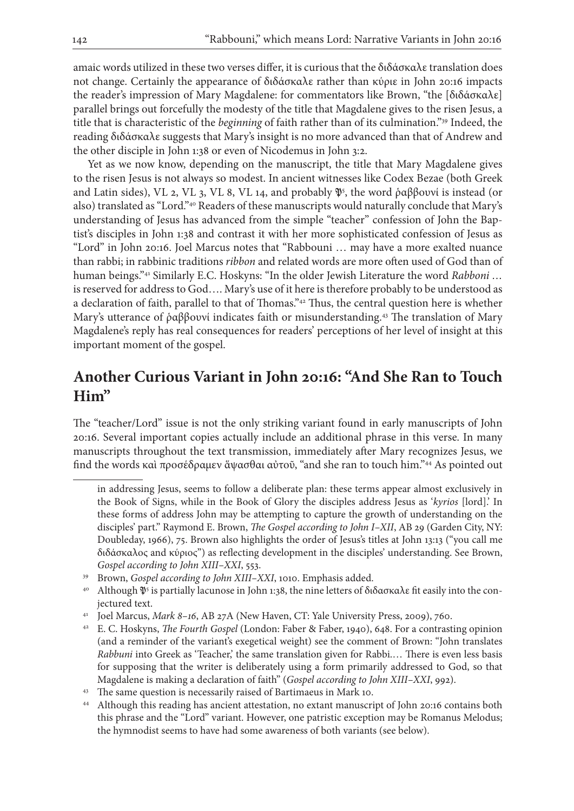amaic words utilized in these two verses differ, it is curious that the διδάσκαλε translation does not change. Certainly the appearance of διδάσκαλε rather than κύριε in John 20:16 impacts the reader's impression of Mary Magdalene: for commentators like Brown, "the [διδάσκαλε] parallel brings out forcefully the modesty of the title that Magdalene gives to the risen Jesus, a title that is characteristic of the *beginning* of faith rather than of its culmination."39 Indeed, the reading διδάσκαλε suggests that Mary's insight is no more advanced than that of Andrew and the other disciple in John 1:38 or even of Nicodemus in John 3:2.

Yet as we now know, depending on the manuscript, the title that Mary Magdalene gives to the risen Jesus is not always so modest. In ancient witnesses like Codex Bezae (both Greek and Latin sides), VL 2, VL 3, VL 8, VL 14, and probably  $\mathfrak{P}^5$ , the word ῥαββουνί is instead (or also) translated as "Lord."40 Readers of these manuscripts would naturally conclude that Mary's understanding of Jesus has advanced from the simple "teacher" confession of John the Baptist's disciples in John 1:38 and contrast it with her more sophisticated confession of Jesus as "Lord" in John 20:16. Joel Marcus notes that "Rabbouni … may have a more exalted nuance than rabbi; in rabbinic traditions *ribbon* and related words are more often used of God than of human beings."41 Similarly E.C. Hoskyns: "In the older Jewish Literature the word *Rabboni …*  is reserved for address to God…. Mary's use of it here is therefore probably to be understood as a declaration of faith, parallel to that of Thomas."42 Thus, the central question here is whether Mary's utterance of ραββουνί indicates faith or misunderstanding.<sup>43</sup> The translation of Mary Magdalene's reply has real consequences for readers' perceptions of her level of insight at this important moment of the gospel.

# **Another Curious Variant in John 20:16: "And She Ran to Touch Him"**

The "teacher/Lord" issue is not the only striking variant found in early manuscripts of John 20:16. Several important copies actually include an additional phrase in this verse. In many manuscripts throughout the text transmission, immediately after Mary recognizes Jesus, we find the words καὶ προσέδραμεν ἅψασθαι αὐτοῦ, "and she ran to touch him."44 As pointed out

in addressing Jesus, seems to follow a deliberate plan: these terms appear almost exclusively in the Book of Signs, while in the Book of Glory the disciples address Jesus as '*kyrios* [lord].' In these forms of address John may be attempting to capture the growth of understanding on the disciples' part." Raymond E. Brown, *The Gospel according to John I–XII*, AB 29 (Garden City, NY: Doubleday, 1966), 75. Brown also highlights the order of Jesus's titles at John 13:13 ("you call me διδάσκαλος and κύριος") as reflecting development in the disciples' understanding. See Brown, *Gospel according to John XIII–XXI*, 553.

<sup>39</sup> Brown, *Gospel according to John XIII–XXI*, 1010. Emphasis added.

 $40$  Although  $\mathfrak{P}^5$  is partially lacunose in John 1:38, the nine letters of διδασκαλε fit easily into the conjectured text.

<sup>41</sup> Joel Marcus, *Mark 8–16*, AB 27A (New Haven, CT: Yale University Press, 2009), 760.

<sup>42</sup> E. C. Hoskyns, *The Fourth Gospel* (London: Faber & Faber, 1940), 648. For a contrasting opinion (and a reminder of the variant's exegetical weight) see the comment of Brown: "John translates *Rabbuni* into Greek as 'Teacher,' the same translation given for Rabbi.… There is even less basis for supposing that the writer is deliberately using a form primarily addressed to God, so that Magdalene is making a declaration of faith" (*Gospel according to John XIII–XXI*, 992).

<sup>&</sup>lt;sup>43</sup> The same question is necessarily raised of Bartimaeus in Mark 10.

<sup>44</sup> Although this reading has ancient attestation, no extant manuscript of John 20:16 contains both this phrase and the "Lord" variant. However, one patristic exception may be Romanus Melodus; the hymnodist seems to have had some awareness of both variants (see below).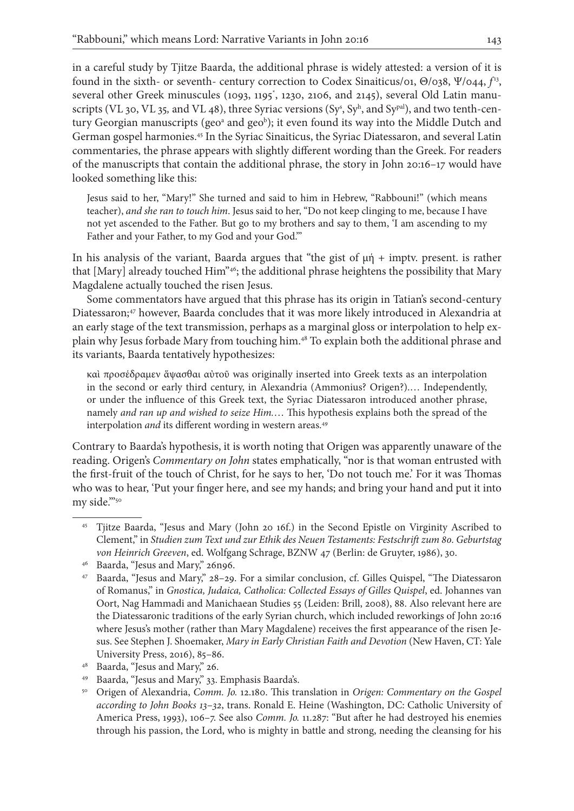in a careful study by Tjitze Baarda, the additional phrase is widely attested: a version of it is found in the sixth- or seventh- century correction to Codex Sinaiticus/01, Θ/038, Ψ/044,  $f<sup>13</sup>$ , several other Greek minuscules (1093, 1195\* , 1230, 2106, and 2145), several Old Latin manuscripts (VL 30, VL 35, and VL 48), three Syriac versions (Sy<sup>s</sup>, Sy<sup>h</sup>, and Sy<sup>pal</sup>), and two tenth-century Georgian manuscripts (geo<sup>a</sup> and geo<sup>b</sup>); it even found its way into the Middle Dutch and German gospel harmonies.45 In the Syriac Sinaiticus, the Syriac Diatessaron, and several Latin commentaries, the phrase appears with slightly different wording than the Greek. For readers of the manuscripts that contain the additional phrase, the story in John 20:16–17 would have looked something like this:

Jesus said to her, "Mary!" She turned and said to him in Hebrew, "Rabbouni!" (which means teacher), *and she ran to touch him*. Jesus said to her, "Do not keep clinging to me, because I have not yet ascended to the Father. But go to my brothers and say to them, 'I am ascending to my Father and your Father, to my God and your God."

In his analysis of the variant, Baarda argues that "the gist of  $\mu \eta$  + imptv. present. is rather that [Mary] already touched Him"46; the additional phrase heightens the possibility that Mary Magdalene actually touched the risen Jesus.

Some commentators have argued that this phrase has its origin in Tatian's second-century Diatessaron;<sup>47</sup> however, Baarda concludes that it was more likely introduced in Alexandria at an early stage of the text transmission, perhaps as a marginal gloss or interpolation to help explain why Jesus forbade Mary from touching him.48 To explain both the additional phrase and its variants, Baarda tentatively hypothesizes:

καὶ προσέδραμεν ἅψασθαι αὐτοῦ was originally inserted into Greek texts as an interpolation in the second or early third century, in Alexandria (Ammonius? Origen?).… Independently, or under the influence of this Greek text, the Syriac Diatessaron introduced another phrase, namely *and ran up and wished to seize Him.*… This hypothesis explains both the spread of the interpolation *and* its different wording in western areas.<sup>49</sup>

Contrary to Baarda's hypothesis, it is worth noting that Origen was apparently unaware of the reading. Origen's *Commentary on John* states emphatically, "nor is that woman entrusted with the first-fruit of the touch of Christ, for he says to her, 'Do not touch me.' For it was Thomas who was to hear, 'Put your finger here, and see my hands; and bring your hand and put it into my side."50

- <sup>49</sup> Baarda, "Jesus and Mary," 33. Emphasis Baarda's.
- <sup>50</sup> Origen of Alexandria, *Comm. Jo.* 12.180. This translation in *Origen: Commentary on the Gospel according to John Books 13*–*32*, trans. Ronald E. Heine (Washington, DC: Catholic University of America Press, 1993), 106–7. See also *Comm. Jo.* 11.287: "But after he had destroyed his enemies through his passion, the Lord, who is mighty in battle and strong, needing the cleansing for his

<sup>45</sup> Tjitze Baarda, "Jesus and Mary (John 20 16f.) in the Second Epistle on Virginity Ascribed to Clement," in *Studien zum Text und zur Ethik des Neuen Testaments: Festschrift zum 80. Geburtstag von Heinrich Greeven*, ed. Wolfgang Schrage, BZNW 47 (Berlin: de Gruyter, 1986), 30.

<sup>46</sup> Baarda, "Jesus and Mary," 26n96.

<sup>47</sup> Baarda, "Jesus and Mary," 28–29. For a similar conclusion, cf. Gilles Quispel, "The Diatessaron of Romanus," in *Gnostica, Judaica, Catholica: Collected Essays of Gilles Quispel*, ed. Johannes van Oort, Nag Hammadi and Manichaean Studies 55 (Leiden: Brill, 2008), 88. Also relevant here are the Diatessaronic traditions of the early Syrian church, which included reworkings of John 20:16 where Jesus's mother (rather than Mary Magdalene) receives the first appearance of the risen Jesus. See Stephen J. Shoemaker, *Mary in Early Christian Faith and Devotion* (New Haven, CT: Yale University Press, 2016), 85–86.

<sup>48</sup> Baarda, "Jesus and Mary," 26.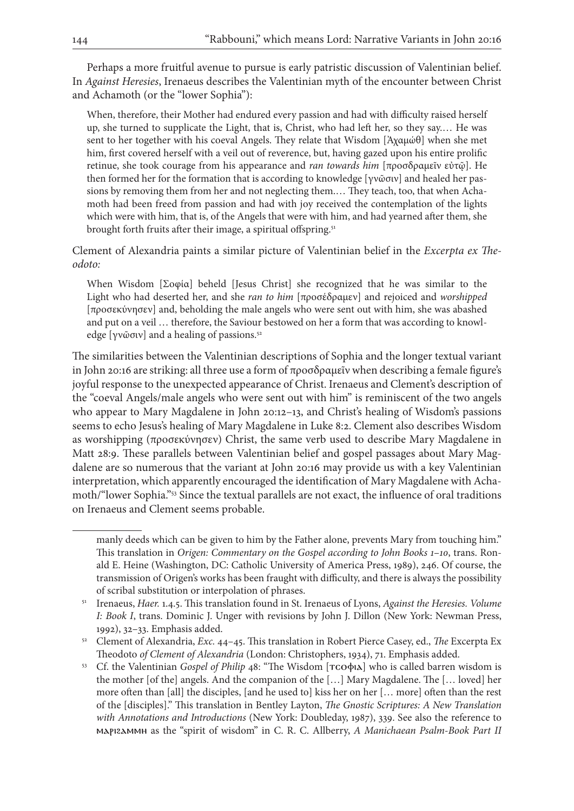Perhaps a more fruitful avenue to pursue is early patristic discussion of Valentinian belief. In *Against Heresies*, Irenaeus describes the Valentinian myth of the encounter between Christ and Achamoth (or the "lower Sophia"):

When, therefore, their Mother had endured every passion and had with difficulty raised herself up, she turned to supplicate the Light, that is, Christ, who had left her, so they say.… He was sent to her together with his coeval Angels. They relate that Wisdom [Ἀχαμώθ] when she met him, first covered herself with a veil out of reverence, but, having gazed upon his entire prolific retinue, she took courage from his appearance and *ran towards him* [προσδραμεῖν εὐτῷ]. He then formed her for the formation that is according to knowledge [γνῶσιν] and healed her passions by removing them from her and not neglecting them.… They teach, too, that when Achamoth had been freed from passion and had with joy received the contemplation of the lights which were with him, that is, of the Angels that were with him, and had yearned after them, she brought forth fruits after their image, a spiritual offspring.<sup>51</sup>

Clement of Alexandria paints a similar picture of Valentinian belief in the *Excerpta ex Theodoto:*

When Wisdom [Σοφία] beheld [Jesus Christ] she recognized that he was similar to the Light who had deserted her, and she *ran to him* [προσέδραμεν] and rejoiced and *worshipped* [προσεκύνησεν] and, beholding the male angels who were sent out with him, she was abashed and put on a veil … therefore, the Saviour bestowed on her a form that was according to knowledge [γνῶσιν] and a healing of passions.<sup>52</sup>

The similarities between the Valentinian descriptions of Sophia and the longer textual variant in John 20:16 are striking: all three use a form of προσδραμεῖν when describing a female figure's joyful response to the unexpected appearance of Christ. Irenaeus and Clement's description of the "coeval Angels/male angels who were sent out with him" is reminiscent of the two angels who appear to Mary Magdalene in John 20:12–13, and Christ's healing of Wisdom's passions seems to echo Jesus's healing of Mary Magdalene in Luke 8:2. Clement also describes Wisdom as worshipping (προσεκύνησεν) Christ, the same verb used to describe Mary Magdalene in Matt 28:9. These parallels between Valentinian belief and gospel passages about Mary Magdalene are so numerous that the variant at John 20:16 may provide us with a key Valentinian interpretation, which apparently encouraged the identification of Mary Magdalene with Achamoth/"lower Sophia."53 Since the textual parallels are not exact, the influence of oral traditions on Irenaeus and Clement seems probable.

manly deeds which can be given to him by the Father alone, prevents Mary from touching him." This translation in *Origen: Commentary on the Gospel according to John Books 1*–*10*, trans. Ronald E. Heine (Washington, DC: Catholic University of America Press, 1989), 246. Of course, the transmission of Origen's works has been fraught with difficulty, and there is always the possibility of scribal substitution or interpolation of phrases.

<sup>51</sup> Irenaeus, *Haer.* 1.4.5. This translation found in St. Irenaeus of Lyons, *Against the Heresies. Volume I: Book I*, trans. Dominic J. Unger with revisions by John J. Dillon (New York: Newman Press, 1992), 32–33. Emphasis added.

<sup>52</sup> Clement of Alexandria, *Exc.* 44–45. This translation in Robert Pierce Casey, ed., *The* Excerpta Ex Theodoto *of Clement of Alexandria* (London: Christophers, 1934), 71. Emphasis added.

<sup>&</sup>lt;sup>53</sup> Cf. the Valentinian *Gospel of Philip* 48: "The Wisdom [ $\text{rco}$ φιλ] who is called barren wisdom is the mother [of the] angels. And the companion of the […] Mary Magdalene. The [… loved] her more often than [all] the disciples, [and he used to] kiss her on her [… more] often than the rest of the [disciples]." This translation in Bentley Layton, *The Gnostic Scriptures: A New Translation with Annotations and Introductions* (New York: Doubleday, 1987), 339. See also the reference to ⲙⲁⲣⲓϩⲁⲙⲙⲏ as the "spirit of wisdom" in C. R. C. Allberry, *A Manichaean Psalm-Book Part II*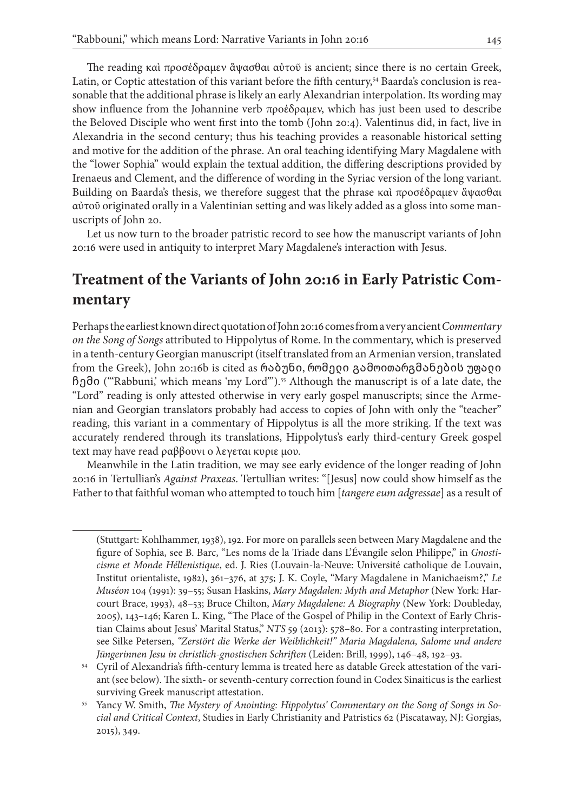The reading καὶ προσέδραμεν ἅψασθαι αὐτοῦ is ancient; since there is no certain Greek, Latin, or Coptic attestation of this variant before the fifth century,<sup>54</sup> Baarda's conclusion is reasonable that the additional phrase is likely an early Alexandrian interpolation. Its wording may show influence from the Johannine verb προέδραμεν, which has just been used to describe the Beloved Disciple who went first into the tomb (John 20:4). Valentinus did, in fact, live in Alexandria in the second century; thus his teaching provides a reasonable historical setting and motive for the addition of the phrase. An oral teaching identifying Mary Magdalene with the "lower Sophia" would explain the textual addition, the differing descriptions provided by Irenaeus and Clement, and the difference of wording in the Syriac version of the long variant. Building on Baarda's thesis, we therefore suggest that the phrase καὶ προσέδραμεν ἅψασθαι αὐτοῦ originated orally in a Valentinian setting and was likely added as a gloss into some manuscripts of John 20.

Let us now turn to the broader patristic record to see how the manuscript variants of John 20:16 were used in antiquity to interpret Mary Magdalene's interaction with Jesus.

# **Treatment of the Variants of John 20:16 in Early Patristic Commentary**

Perhaps the earliest known direct quotation of John 20:16 comes from a very ancient *Commentary on the Song of Songs* attributed to Hippolytus of Rome. In the commentary, which is preserved in a tenth-century Georgian manuscript (itself translated from an Armenian version, translated from the Greek), John 20:16b is cited as რაბუნი, რომელი გამოითარგმანების უფალი ჩემი ("'Rabbuni,' which means 'my Lord'").55 Although the manuscript is of a late date, the "Lord" reading is only attested otherwise in very early gospel manuscripts; since the Armenian and Georgian translators probably had access to copies of John with only the "teacher" reading, this variant in a commentary of Hippolytus is all the more striking. If the text was accurately rendered through its translations, Hippolytus's early third-century Greek gospel text may have read ραββουνι ο λεγεται κυριε μου.

Meanwhile in the Latin tradition, we may see early evidence of the longer reading of John 20:16 in Tertullian's *Against Praxeas*. Tertullian writes: "[Jesus] now could show himself as the Father to that faithful woman who attempted to touch him [*tangere eum adgressae*] as a result of

<sup>(</sup>Stuttgart: Kohlhammer, 1938), 192. For more on parallels seen between Mary Magdalene and the figure of Sophia, see B. Barc, "Les noms de la Triade dans L'Évangile selon Philippe," in *Gnosticisme et Monde Héllenistique*, ed. J. Ries (Louvain-la-Neuve: Université catholique de Louvain, Institut orientaliste, 1982), 361–376, at 375; J. K. Coyle, "Mary Magdalene in Manichaeism?," *Le Muséon* 104 (1991): 39–55; Susan Haskins, *Mary Magdalen: Myth and Metaphor* (New York: Harcourt Brace, 1993), 48–53; Bruce Chilton, *Mary Magdalene: A Biography* (New York: Doubleday, 2005), 143–146; Karen L. King, "The Place of the Gospel of Philip in the Context of Early Christian Claims about Jesus' Marital Status," *NTS* 59 (2013): 578–80. For a contrasting interpretation, see Silke Petersen, *"Zerstört die Werke der Weiblichkeit!" Maria Magdalena, Salome und andere Jüngerinnen Jesu in christlich-gnostischen Schriften* (Leiden: Brill, 1999), 146–48, 192–93.

<sup>54</sup> Cyril of Alexandria's fifth-century lemma is treated here as datable Greek attestation of the variant (see below). The sixth- or seventh-century correction found in Codex Sinaiticus is the earliest surviving Greek manuscript attestation.

<sup>55</sup> Yancy W. Smith, *The Mystery of Anointing: Hippolytus' Commentary on the Song of Songs in Social and Critical Context*, Studies in Early Christianity and Patristics 62 (Piscataway, NJ: Gorgias, 2015), 349.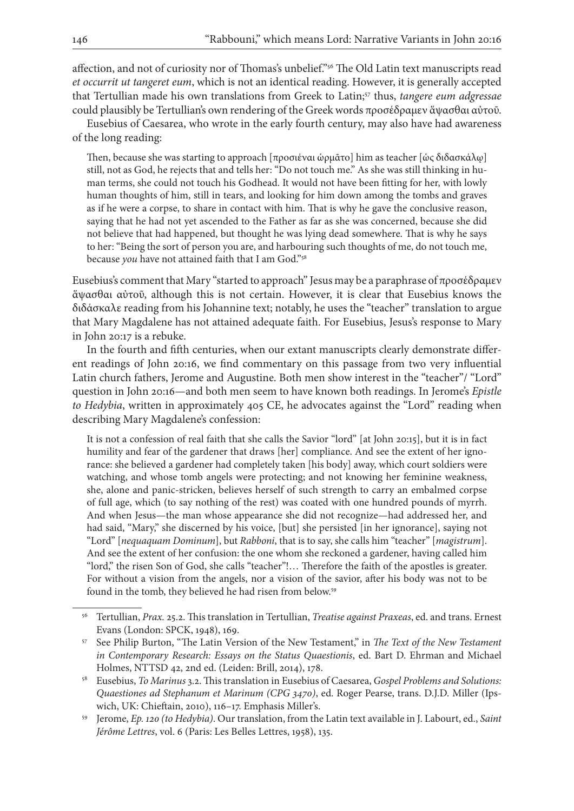affection, and not of curiosity nor of Thomas's unbelief."56 The Old Latin text manuscripts read *et occurrit ut tangeret eum*, which is not an identical reading. However, it is generally accepted that Tertullian made his own translations from Greek to Latin;<sup>57</sup> thus, tangere eum adgressae could plausibly be Tertullian's own rendering of the Greek words προσέδραμεν ἅψασθαι αὐτοῦ.

Eusebius of Caesarea, who wrote in the early fourth century, may also have had awareness of the long reading:

Then, because she was starting to approach [προσιέναι ὡρμᾶτο] him as teacher [ὡς διδασκάλῳ] still, not as God, he rejects that and tells her: "Do not touch me." As she was still thinking in human terms, she could not touch his Godhead. It would not have been fitting for her, with lowly human thoughts of him, still in tears, and looking for him down among the tombs and graves as if he were a corpse, to share in contact with him. That is why he gave the conclusive reason, saying that he had not yet ascended to the Father as far as she was concerned, because she did not believe that had happened, but thought he was lying dead somewhere. That is why he says to her: "Being the sort of person you are, and harbouring such thoughts of me, do not touch me, because *you* have not attained faith that I am God."58

Eusebius's comment that Mary "started to approach" Jesus may be a paraphrase of προσέδραμεν ἅψασθαι αὐτοῦ, although this is not certain. However, it is clear that Eusebius knows the διδάσκαλε reading from his Johannine text; notably, he uses the "teacher" translation to argue that Mary Magdalene has not attained adequate faith. For Eusebius, Jesus's response to Mary in John 20:17 is a rebuke.

In the fourth and fifth centuries, when our extant manuscripts clearly demonstrate different readings of John 20:16, we find commentary on this passage from two very influential Latin church fathers, Jerome and Augustine. Both men show interest in the "teacher"/ "Lord" question in John 20:16—and both men seem to have known both readings. In Jerome's *Epistle to Hedybia*, written in approximately 405 CE, he advocates against the "Lord" reading when describing Mary Magdalene's confession:

It is not a confession of real faith that she calls the Savior "lord" [at John 20:15], but it is in fact humility and fear of the gardener that draws [her] compliance. And see the extent of her ignorance: she believed a gardener had completely taken [his body] away, which court soldiers were watching, and whose tomb angels were protecting; and not knowing her feminine weakness, she, alone and panic-stricken, believes herself of such strength to carry an embalmed corpse of full age, which (to say nothing of the rest) was coated with one hundred pounds of myrrh. And when Jesus—the man whose appearance she did not recognize—had addressed her, and had said, "Mary," she discerned by his voice, [but] she persisted [in her ignorance], saying not "Lord" [*nequaquam Dominum*], but *Rabboni*, that is to say, she calls him "teacher" [*magistrum*]. And see the extent of her confusion: the one whom she reckoned a gardener, having called him "lord," the risen Son of God, she calls "teacher"!… Therefore the faith of the apostles is greater. For without a vision from the angels, nor a vision of the savior, after his body was not to be found in the tomb, they believed he had risen from below.<sup>59</sup>

<sup>56</sup> Tertullian, *Prax.* 25.2. This translation in Tertullian, *Treatise against Praxeas*, ed. and trans. Ernest Evans (London: SPCK, 1948), 169.

<sup>57</sup> See Philip Burton, "The Latin Version of the New Testament," in *The Text of the New Testament in Contemporary Research: Essays on the Status Quaestionis*, ed. Bart D. Ehrman and Michael Holmes, NTTSD 42, 2nd ed. (Leiden: Brill, 2014), 178.

<sup>58</sup> Eusebius, *To Marinus* 3.2. This translation in Eusebius of Caesarea, *Gospel Problems and Solutions: Quaestiones ad Stephanum et Marinum (CPG 3470)*, ed. Roger Pearse, trans. D.J.D. Miller (Ipswich, UK: Chieftain, 2010), 116–17. Emphasis Miller's.

<sup>59</sup> Jerome, *Ep. 120 (to Hedybia)*. Our translation, from the Latin text available in J. Labourt, ed., *Saint Jérôme Lettres*, vol. 6 (Paris: Les Belles Lettres, 1958), 135.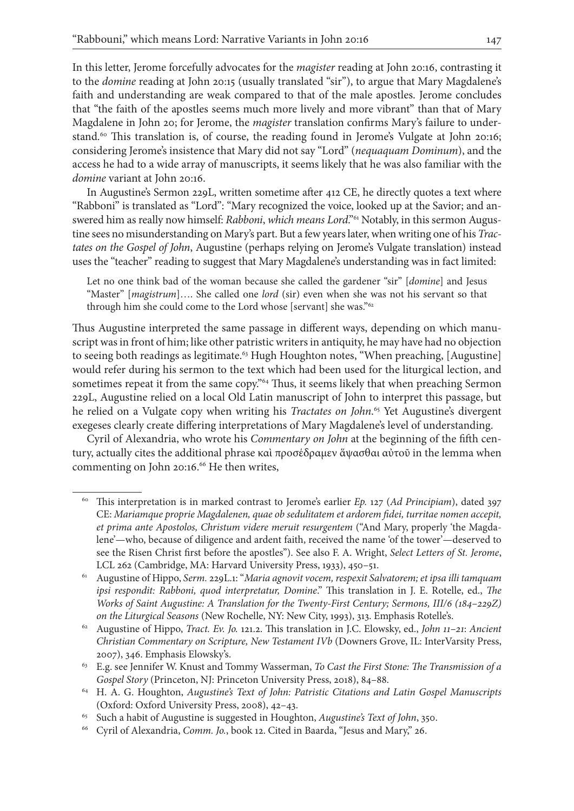In this letter, Jerome forcefully advocates for the *magister* reading at John 20:16, contrasting it to the *domine* reading at John 20:15 (usually translated "sir"), to argue that Mary Magdalene's faith and understanding are weak compared to that of the male apostles. Jerome concludes that "the faith of the apostles seems much more lively and more vibrant" than that of Mary Magdalene in John 20; for Jerome, the *magister* translation confirms Mary's failure to understand.<sup>60</sup> This translation is, of course, the reading found in Jerome's Vulgate at John 20:16; considering Jerome's insistence that Mary did not say "Lord" (*nequaquam Dominum*), and the access he had to a wide array of manuscripts, it seems likely that he was also familiar with the *domine* variant at John 20:16.

In Augustine's Sermon 229L, written sometime after 412 CE, he directly quotes a text where "Rabboni" is translated as "Lord": "Mary recognized the voice, looked up at the Savior; and answered him as really now himself: *Rabboni*, *which means Lord*."<sup>61</sup> Notably, in this sermon Augustine sees no misunderstanding on Mary's part. But a few years later, when writing one of his *Tractates on the Gospel of John*, Augustine (perhaps relying on Jerome's Vulgate translation) instead uses the "teacher" reading to suggest that Mary Magdalene's understanding was in fact limited:

Let no one think bad of the woman because she called the gardener "sir" [*domine*] and Jesus "Master" [*magistrum*]…. She called one *lord* (sir) even when she was not his servant so that through him she could come to the Lord whose [servant] she was."<sup>62</sup>

Thus Augustine interpreted the same passage in different ways, depending on which manuscript was in front of him; like other patristic writers in antiquity, he may have had no objection to seeing both readings as legitimate.<sup>63</sup> Hugh Houghton notes, "When preaching, [Augustine] would refer during his sermon to the text which had been used for the liturgical lection, and sometimes repeat it from the same copy."<sup>64</sup> Thus, it seems likely that when preaching Sermon 229L, Augustine relied on a local Old Latin manuscript of John to interpret this passage, but he relied on a Vulgate copy when writing his *Tractates on John*. 65 Yet Augustine's divergent exegeses clearly create differing interpretations of Mary Magdalene's level of understanding.

Cyril of Alexandria, who wrote his *Commentary on John* at the beginning of the fifth century, actually cites the additional phrase καὶ προσέδραμεν ἅψασθαι αὐτοῦ in the lemma when commenting on John 20:16.<sup>66</sup> He then writes,

<sup>60</sup> This interpretation is in marked contrast to Jerome's earlier *Ep.* 127 (*Ad Principiam*), dated 397 CE: *Mariamque proprie Magdalenen, quae ob sedulitatem et ardorem fidei, turritae nomen accepit, et prima ante Apostolos, Christum videre meruit resurgentem* ("And Mary, properly 'the Magdalene'—who, because of diligence and ardent faith, received the name 'of the tower'—deserved to see the Risen Christ first before the apostles"). See also F. A. Wright, *Select Letters of St. Jerome*, LCL 262 (Cambridge, MA: Harvard University Press, 1933), 450–51.

<sup>61</sup> Augustine of Hippo, *Serm.* 229L.1: "*Maria agnovit vocem, respexit Salvatorem; et ipsa illi tamquam ipsi respondit: Rabboni, quod interpretatur, Domine*." This translation in J. E. Rotelle, ed., *The Works of Saint Augustine: A Translation for the Twenty-First Century; Sermons, III/6 (184*–*229Z) on the Liturgical Seasons* (New Rochelle, NY: New City, 1993), 313. Emphasis Rotelle's.

<sup>62</sup> Augustine of Hippo, *Tract. Ev. Jo.* 121.2. This translation in J.C. Elowsky, ed., *John 11*–*21*: *Ancient Christian Commentary on Scripture, New Testament IVb* (Downers Grove, IL: InterVarsity Press, 2007), 346. Emphasis Elowsky's.

<sup>63</sup> E.g. see Jennifer W. Knust and Tommy Wasserman, *To Cast the First Stone: The Transmission of a Gospel Story* (Princeton, NJ: Princeton University Press, 2018), 84–88.

<sup>64</sup> H. A. G. Houghton, *Augustine's Text of John: Patristic Citations and Latin Gospel Manuscripts*  (Oxford: Oxford University Press, 2008), 42–43.

<sup>65</sup> Such a habit of Augustine is suggested in Houghton, *Augustine's Text of John*, 350.

<sup>66</sup> Cyril of Alexandria, *Comm. Jo.*, book 12. Cited in Baarda, "Jesus and Mary," 26.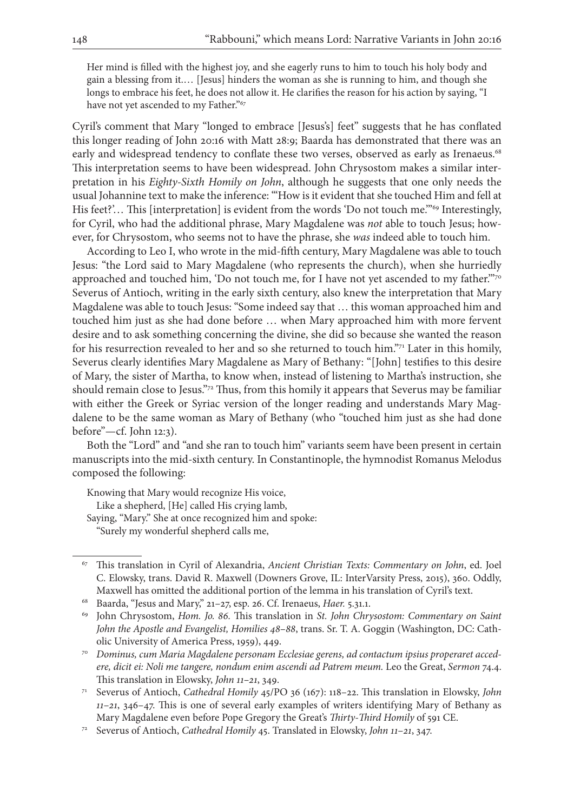Her mind is filled with the highest joy, and she eagerly runs to him to touch his holy body and gain a blessing from it.… [Jesus] hinders the woman as she is running to him, and though she longs to embrace his feet, he does not allow it. He clarifies the reason for his action by saying, "I have not yet ascended to my Father."<sup>67</sup>

Cyril's comment that Mary "longed to embrace [Jesus's] feet" suggests that he has conflated this longer reading of John 20:16 with Matt 28:9; Baarda has demonstrated that there was an early and widespread tendency to conflate these two verses, observed as early as Irenaeus.<sup>68</sup> This interpretation seems to have been widespread. John Chrysostom makes a similar interpretation in his *Eighty-Sixth Homily on John*, although he suggests that one only needs the usual Johannine text to make the inference: "'How is it evident that she touched Him and fell at His feet?'... This [interpretation] is evident from the words 'Do not touch me."<sup>69</sup> Interestingly, for Cyril, who had the additional phrase, Mary Magdalene was *not* able to touch Jesus; however, for Chrysostom, who seems not to have the phrase, she *was* indeed able to touch him.

According to Leo I, who wrote in the mid-fifth century, Mary Magdalene was able to touch Jesus: "the Lord said to Mary Magdalene (who represents the church), when she hurriedly approached and touched him, 'Do not touch me, for I have not yet ascended to my father.""70 Severus of Antioch, writing in the early sixth century, also knew the interpretation that Mary Magdalene was able to touch Jesus: "Some indeed say that … this woman approached him and touched him just as she had done before … when Mary approached him with more fervent desire and to ask something concerning the divine, she did so because she wanted the reason for his resurrection revealed to her and so she returned to touch him."71 Later in this homily, Severus clearly identifies Mary Magdalene as Mary of Bethany: "[John] testifies to this desire of Mary, the sister of Martha, to know when, instead of listening to Martha's instruction, she should remain close to Jesus."72 Thus, from this homily it appears that Severus may be familiar with either the Greek or Syriac version of the longer reading and understands Mary Magdalene to be the same woman as Mary of Bethany (who "touched him just as she had done before"—cf. John 12:3).

Both the "Lord" and "and she ran to touch him" variants seem have been present in certain manuscripts into the mid-sixth century. In Constantinople, the hymnodist Romanus Melodus composed the following:

Knowing that Mary would recognize His voice, Like a shepherd, [He] called His crying lamb, Saying, "Mary." She at once recognized him and spoke: "Surely my wonderful shepherd calls me,

<sup>67</sup> This translation in Cyril of Alexandria, *Ancient Christian Texts: Commentary on John*, ed. Joel C. Elowsky, trans. David R. Maxwell (Downers Grove, IL: InterVarsity Press, 2015), 360. Oddly, Maxwell has omitted the additional portion of the lemma in his translation of Cyril's text.

<sup>68</sup> Baarda, "Jesus and Mary," 21–27, esp. 26. Cf. Irenaeus, *Haer.* 5.31.1.

<sup>69</sup> John Chrysostom, *Hom. Jo. 86.* This translation in *St. John Chrysostom: Commentary on Saint John the Apostle and Evangelist, Homilies 48*–*88*, trans. Sr. T. A. Goggin (Washington, DC: Catholic University of America Press, 1959), 449.

<sup>70</sup> *Dominus, cum Maria Magdalene personam Ecclesiae gerens, ad contactum ipsius properaret accedere, dicit ei: Noli me tangere, nondum enim ascendi ad Patrem meum.* Leo the Great, *Sermon* 74.4. This translation in Elowsky, *John 11–21*, 349.

<sup>71</sup> Severus of Antioch, *Cathedral Homily* 45/PO 36 (167): 118–22. This translation in Elowsky, *John 11*–*21*, 346–47. This is one of several early examples of writers identifying Mary of Bethany as Mary Magdalene even before Pope Gregory the Great's *Thirty-Third Homily* of 591 CE.

<sup>72</sup> Severus of Antioch, *Cathedral Homily* 45. Translated in Elowsky, *John 11*–*21*, 347.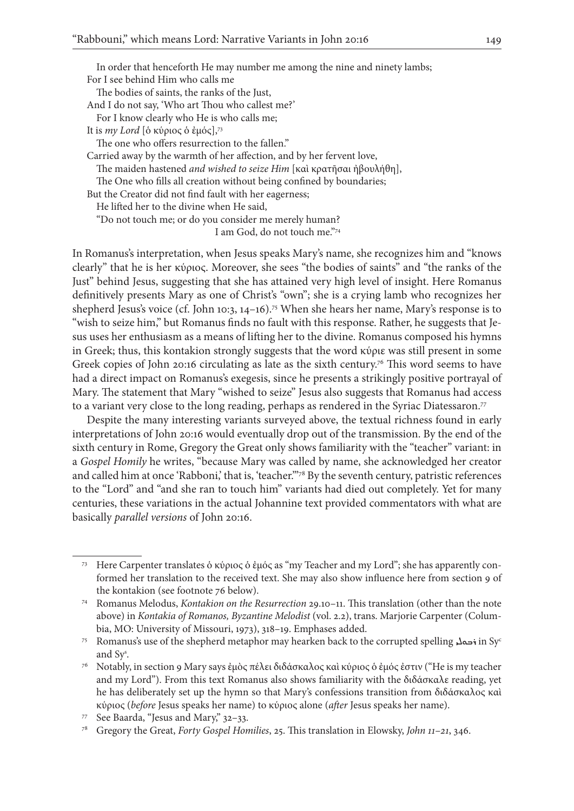In order that henceforth He may number me among the nine and ninety lambs; For I see behind Him who calls me The bodies of saints, the ranks of the Just, And I do not say, 'Who art Thou who callest me?' For I know clearly who He is who calls me; It is *my Lord* [δ κύριος δ ἐμός],<sup>73</sup> The one who offers resurrection to the fallen." Carried away by the warmth of her affection, and by her fervent love, The maiden hastened *and wished to seize Him* [καὶ κρατῆσαι ἠβουλήθη], The One who fills all creation without being confined by boundaries; But the Creator did not find fault with her eagerness; He lifted her to the divine when He said, "Do not touch me; or do you consider me merely human? I am God, do not touch me."74

In Romanus's interpretation, when Jesus speaks Mary's name, she recognizes him and "knows clearly" that he is her κύριος. Moreover, she sees "the bodies of saints" and "the ranks of the Just" behind Jesus, suggesting that she has attained very high level of insight. Here Romanus definitively presents Mary as one of Christ's "own"; she is a crying lamb who recognizes her shepherd Jesus's voice (cf. John 10:3, 14-16).<sup>75</sup> When she hears her name, Mary's response is to "wish to seize him," but Romanus finds no fault with this response. Rather, he suggests that Jesus uses her enthusiasm as a means of lifting her to the divine. Romanus composed his hymns in Greek; thus, this kontakion strongly suggests that the word κύριε was still present in some Greek copies of John 20:16 circulating as late as the sixth century.<sup>76</sup> This word seems to have had a direct impact on Romanus's exegesis, since he presents a strikingly positive portrayal of Mary. The statement that Mary "wished to seize" Jesus also suggests that Romanus had access to a variant very close to the long reading, perhaps as rendered in the Syriac Diatessaron.<sup>77</sup>

Despite the many interesting variants surveyed above, the textual richness found in early interpretations of John 20:16 would eventually drop out of the transmission. By the end of the sixth century in Rome, Gregory the Great only shows familiarity with the "teacher" variant: in a *Gospel Homily* he writes, "because Mary was called by name, she acknowledged her creator and called him at once 'Rabboni,' that is, 'teacher."<sup>78</sup> By the seventh century, patristic references to the "Lord" and "and she ran to touch him" variants had died out completely. Yet for many centuries, these variations in the actual Johannine text provided commentators with what are basically *parallel versions* of John 20:16.

<sup>73</sup> Here Carpenter translates ὁ κύριος ὁ ἐμός as "my Teacher and my Lord"; she has apparently conformed her translation to the received text. She may also show influence here from section 9 of the kontakion (see footnote 76 below).

<sup>74</sup> Romanus Melodus, *Kontakion on the Resurrection* 29.10–11. This translation (other than the note above) in *Kontakia of Romanos, Byzantine Melodist* (vol. 2.2), trans. Marjorie Carpenter (Columbia, MO: University of Missouri, 1973), 318–19. Emphases added.

<sup>75</sup> Romanus's use of the shepherd metaphor may hearken back to the corrupted spelling ܪܒܘܠܝ in Syc and Sys .

<sup>76</sup> Notably, in section 9 Mary says ἐμὸς πέλει διδάσκαλος καὶ κύριος ὁ ἐμός ἐστιν ("He is my teacher and my Lord"). From this text Romanus also shows familiarity with the διδάσκαλε reading, yet he has deliberately set up the hymn so that Mary's confessions transition from διδάσκαλος καὶ κύριος (*before* Jesus speaks her name) to κύριος alone (*after* Jesus speaks her name).

<sup>77</sup> See Baarda, "Jesus and Mary," 32–33.

<sup>78</sup> Gregory the Great, *Forty Gospel Homilies*, 25. This translation in Elowsky, *John 11*–*21*, 346.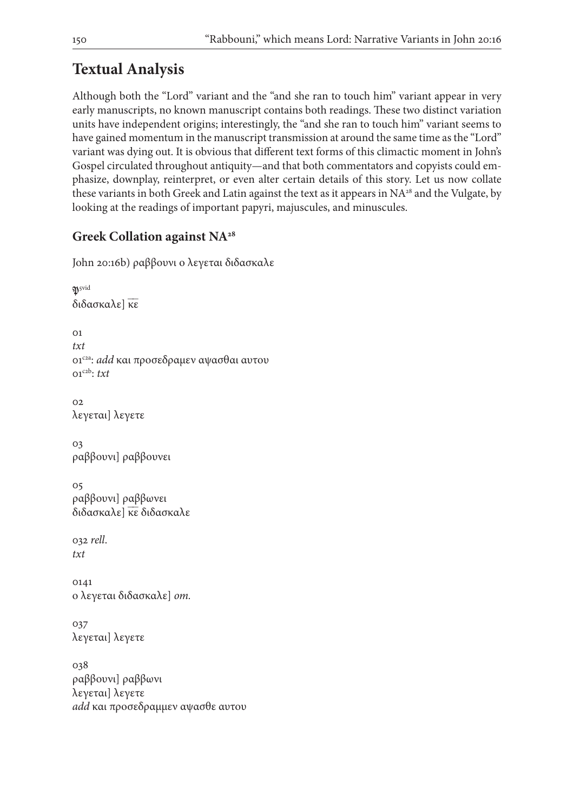# **Textual Analysis**

Although both the "Lord" variant and the "and she ran to touch him" variant appear in very early manuscripts, no known manuscript contains both readings. These two distinct variation units have independent origins; interestingly, the "and she ran to touch him" variant seems to have gained momentum in the manuscript transmission at around the same time as the "Lord" variant was dying out. It is obvious that different text forms of this climactic moment in John's Gospel circulated throughout antiquity—and that both commentators and copyists could emphasize, downplay, reinterpret, or even alter certain details of this story. Let us now collate these variants in both Greek and Latin against the text as it appears in NA<sup>28</sup> and the Vulgate, by looking at the readings of important papyri, majuscules, and minuscules.

## **Greek Collation against NA28**

```
John 20:16b) ραββουνι ο λεγεται διδασκαλε
```

```
15vid
διδασκαλε] κε
01
txt
01c2a: add και προσεδραμεν αψασθαι αυτου
01c2b: txt
02
λεγεται] λεγετε
03
ραββουνι] ραββουνει
05
ραββουνι] ραββωνει
διδασκαλε] κε διδασκαλε
032 rell.
txt
0141
ο λεγεται διδασκαλε] om.
037
λεγεται] λεγετε
038
ραββουνι] ραββωνι
λεγεται] λεγετε
add και προσεδραμμεν αψασθε αυτου
```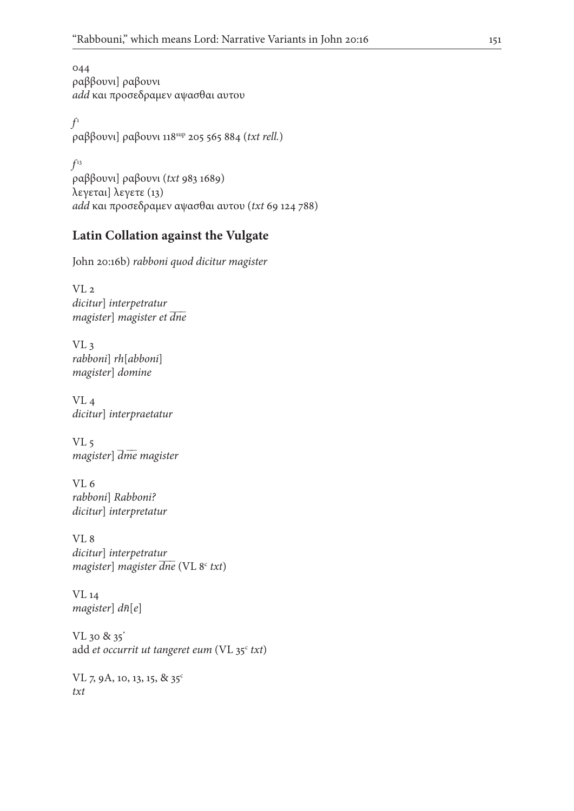044 ραββουνι] ραβουνι *add* και προσεδραμεν αψασθαι αυτου

 $f<sup>1</sup>$ ραββουνι] ραβουνι 118sup 205 565 884 (*txt rell.*)

*f* 13 ραββουνι] ραβουνι (*txt* 983 1689) λεγεται] λεγετε (13) *add* και προσεδραμεν αψασθαι αυτου (*txt* 69 124 788)

### **Latin Collation against the Vulgate**

John 20:16b) *rabboni quod dicitur magister*

VL 2 *dicitur*] *interpetratur magister*] *magister et*  $\overline{d}$ *ne* 

VL 3 *rabboni*] *rh*[*abboni*] *magister*] *domine*

VL 4 *dicitur*] *interpraetatur*

VL 5 *magister*]  $\overline{dme}$  magister

VL 6 *rabboni*] *Rabboni? dicitur*] *interpretatur*

VL 8 *dicitur*] *interpetratur magister*] *magister dne* (VL 8<sup>c</sup> txt)

VL 14 *magister*] *dn*̄[*e*]

VL 30 & 35\* add et occurrit ut tangeret eum (VL 35<sup>c</sup> txt)

VL 7, 9A, 10, 13, 15, & 35<sup>c</sup> *txt*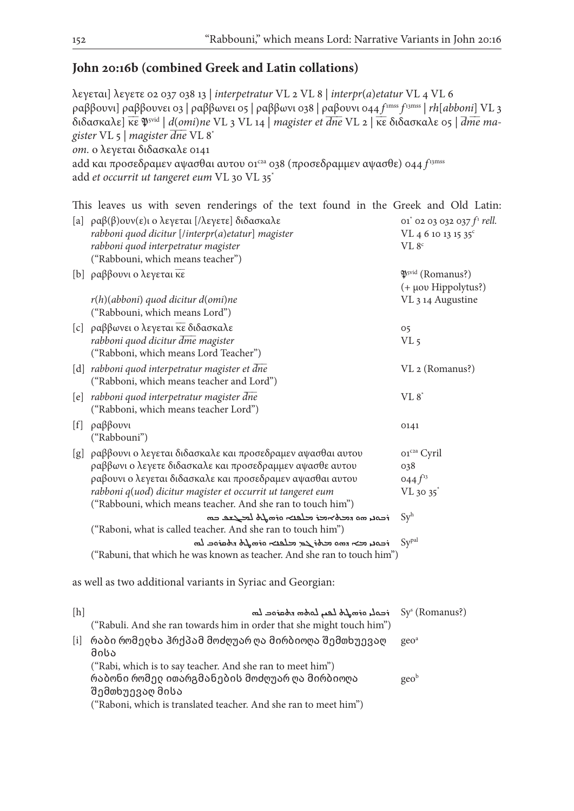### **John 20:16b (combined Greek and Latin collations)**

λεγεται] λεγετε 02 037 038 13 | *interpetratur* VL 2 VL 8 | *interpr*(*a*)*etatur* VL 4 VL 6 ραββουνι] ραββουνει 03 | ραββωνει 05 | ραββωνι 038 | ραβουνι 044 *f* 1mss *f* 13mss | *rh*[*abboni*] VL 3 διδασκαλε] κ̅ε̅5vid | *d*(*omi*)*ne* VL 3 VL 14 | *magister et dn*̅*e*̅̅ VL 2 | κ̅ε̅ διδασκαλε 05 | *dm*̅ *e*̅ *ma* ̅  *gister* VL 5 | *magister*  $\overline{d}$ *ne* VL 8<sup>\*</sup> *om.* ο λεγεται διδασκαλε 0141 add και προσεδραμεν αψασθαι αυτου 01<sup>c2a</sup> 038 (προσεδραμμεν αψασθε) 044 f<sup>13mss</sup> add *et occurrit ut tangeret eum* VL 30 VL 35\*

This leaves us with seven renderings of the text found in the Greek and Old Latin:

|     | [a] $\rho\alpha\beta(\beta)$ ουν(ε)ι ο λεγεται [/λεγετε] διδασκαλε<br>rabboni quod dicitur [/interpr(a)etatur] magister    | 01 <sup>*</sup> 02 03 032 037 $f1$ rell.<br>VL 4 6 10 13 15 35 <sup>c</sup> |
|-----|----------------------------------------------------------------------------------------------------------------------------|-----------------------------------------------------------------------------|
|     | rabboni quod interpetratur magister                                                                                        | VL 8 <sup>c</sup>                                                           |
|     | ("Rabbouni, which means teacher")                                                                                          |                                                                             |
|     | [b] ραββουνι ο λεγεται κε                                                                                                  | $\mathfrak{P}^{\text{svid}}$ (Romanus?)                                     |
|     |                                                                                                                            | (+ µov Hippolytus?)                                                         |
|     | $r(h)$ (abboni) quod dicitur d(omi)ne<br>("Rabbouni, which means Lord")                                                    | VL 3 14 Augustine                                                           |
|     | [c] ραββωνει ο λεγεται κε διδασκαλε                                                                                        | 05                                                                          |
|     | rabboni quod dicitur dme magister<br>("Rabboni, which means Lord Teacher")                                                 | VL <sub>5</sub>                                                             |
|     | [d] rabboni quod interpetratur magister et dne<br>("Rabboni, which means teacher and Lord")                                | VL 2 (Romanus?)                                                             |
|     | [e] rabboni quod interpetratur magister dne<br>("Rabboni, which means teacher Lord")                                       | $VL 8^*$                                                                    |
|     | [f] $\rho \alpha \beta \beta$ ovvi<br>("Rabbouni")                                                                         | 0141                                                                        |
|     | [g] ραββουνι ο λεγεται διδασκαλε και προσεδραμεν αψασθαι αυτου                                                             | 01 <sup>c2a</sup> Cyril                                                     |
|     | ραββωνι ο λεγετε διδασκαλε και προσεδραμμεν αψασθε αυτου                                                                   | 038                                                                         |
|     | ραβουνι ο λεγεται διδασκαλε και προσεδραμεν αψασθαι αυτου                                                                  | 044 $f^{13}$                                                                |
|     | rabboni q(uod) dicitur magister et occurrit ut tangeret eum<br>("Rabbouni, which means teacher. And she ran to touch him") | $VL$ 30 35 $*$                                                              |
|     | $\tau$ רבסנו מס המלאמד מלפנא סדמה לחל למצב במ                                                                              | Sy <sup>h</sup>                                                             |
|     | ("Raboni, what is called teacher. And she ran to touch him")                                                               |                                                                             |
|     | $\tau$ רבות וכדי המום וכלו לב וכן באפרי המשלך המסומכ למ                                                                    | Sypal                                                                       |
|     | ("Rabuni, that which he was known as teacher. And she ran to touch him")                                                   |                                                                             |
|     | as well as two additional variants in Syriac and Georgian:                                                                 |                                                                             |
| [h] | real, armoto leu, ladon roarae lon<br>("Rabuli. And she ran towards him in order that she might touch him")                | Sy <sup>s</sup> (Romanus?)                                                  |
|     |                                                                                                                            |                                                                             |
| [i] | რაბი რომედხა ჰრქპამ მოძღუარ ღა მირბიოღა შემთხუევაღ<br>მისა                                                                 | geo <sup>a</sup>                                                            |

("Rabi, which is to say teacher. And she ran to meet him") რაბონი რომელ ითარგმანების მოძღუარ ღა მირბიოღა შემთხუევაღ მისა ("Raboni, which is translated teacher. And she ran to meet him") geob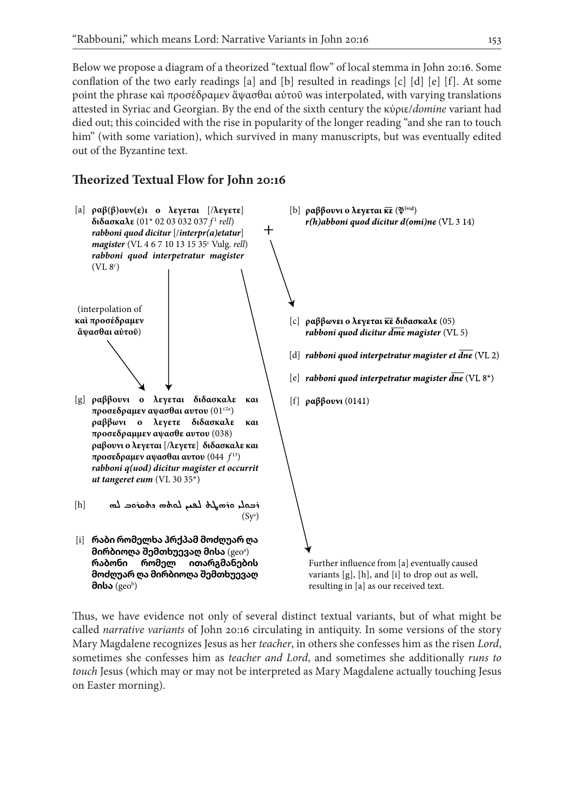Below we propose a diagram of a theorized "textual flow" of local stemma in John 20:16. Some conflation of the two early readings [a] and [b] resulted in readings [c] [d] [e] [f]. At some point the phrase καὶ προσέδραμεν ἅψασθαι αὐτοῦ was interpolated, with varying translations attested in Syriac and Georgian. By the end of the sixth century the κύριε/*domine* variant had died out; this coincided with the rise in popularity of the longer reading "and she ran to touch him" (with some variation), which survived in many manuscripts, but was eventually edited out of the Byzantine text.

### **Theorized Textual Flow for John 20:16**



Thus, we have evidence not only of several distinct textual variants, but of what might be called *narrative variants* of John 20:16 circulating in antiquity. In some versions of the story Mary Magdalene recognizes Jesus as her *teacher*, in others she confesses him as the risen *Lord*, sometimes she confesses him as *teacher and Lord*, and sometimes she additionally *runs to touch* Jesus (which may or may not be interpreted as Mary Magdalene actually touching Jesus on Easter morning).